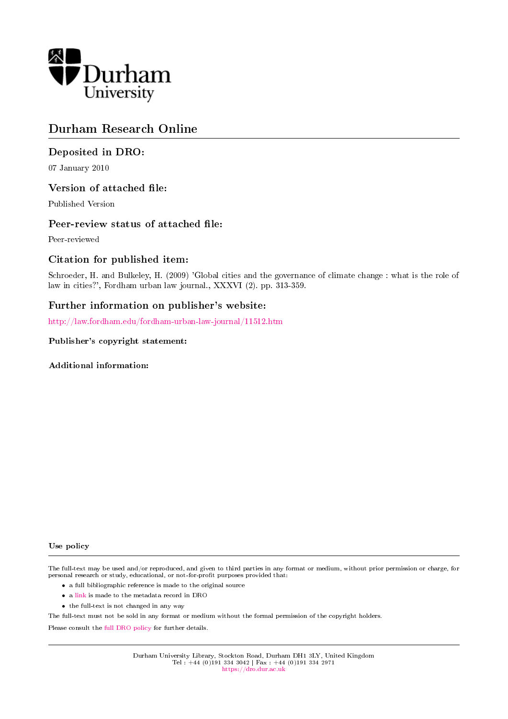

# Durham Research Online

# Deposited in DRO:

07 January 2010

# Version of attached file:

Published Version

# Peer-review status of attached file:

Peer-reviewed

# Citation for published item:

Schroeder, H. and Bulkeley, H. (2009) 'Global cities and the governance of climate change : what is the role of law in cities?', Fordham urban law journal., XXXVI (2). pp. 313-359.

# Further information on publisher's website:

<http://law.fordham.edu/fordham-urban-law-journal/11512.htm>

# Publisher's copyright statement:

Additional information:

#### Use policy

The full-text may be used and/or reproduced, and given to third parties in any format or medium, without prior permission or charge, for personal research or study, educational, or not-for-profit purposes provided that:

- a full bibliographic reference is made to the original source
- a [link](http://dro.dur.ac.uk/6042/) is made to the metadata record in DRO
- the full-text is not changed in any way

The full-text must not be sold in any format or medium without the formal permission of the copyright holders.

Please consult the [full DRO policy](https://dro.dur.ac.uk/policies/usepolicy.pdf) for further details.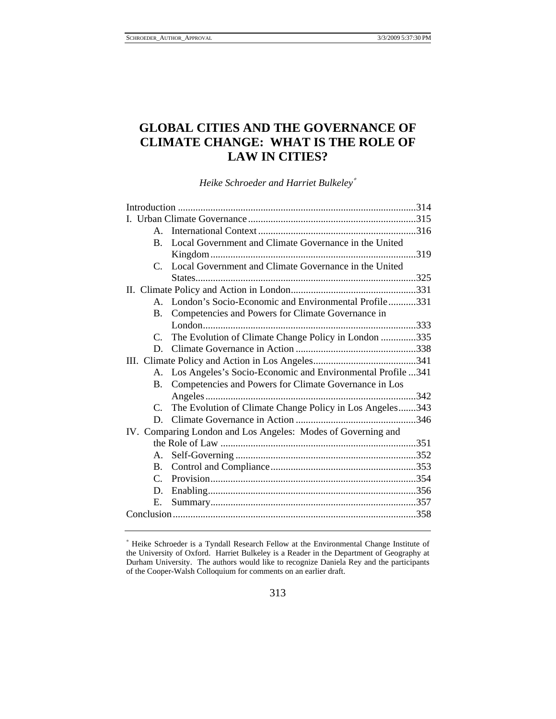# **GLOBAL CITIES AND THE GOVERNANCE OF CLIMATE CHANGE: WHAT IS THE ROLE OF LAW IN CITIES?**

*Heike Schroeder and Harriet Bulkeley*<sup>∗</sup>

| $A_{\cdot}$                                                  |                                                            |  |  |  |
|--------------------------------------------------------------|------------------------------------------------------------|--|--|--|
| $B_{-}$                                                      | Local Government and Climate Governance in the United      |  |  |  |
|                                                              |                                                            |  |  |  |
| C.                                                           | Local Government and Climate Governance in the United      |  |  |  |
|                                                              |                                                            |  |  |  |
|                                                              |                                                            |  |  |  |
|                                                              | A. London's Socio-Economic and Environmental Profile331    |  |  |  |
|                                                              | B. Competencies and Powers for Climate Governance in       |  |  |  |
|                                                              |                                                            |  |  |  |
| C.                                                           | The Evolution of Climate Change Policy in London 335       |  |  |  |
| D.                                                           |                                                            |  |  |  |
|                                                              |                                                            |  |  |  |
| A.                                                           | Los Angeles's Socio-Economic and Environmental Profile 341 |  |  |  |
| B.                                                           | Competencies and Powers for Climate Governance in Los      |  |  |  |
|                                                              |                                                            |  |  |  |
| C.                                                           | The Evolution of Climate Change Policy in Los Angeles343   |  |  |  |
| D.                                                           |                                                            |  |  |  |
| IV. Comparing London and Los Angeles: Modes of Governing and |                                                            |  |  |  |
|                                                              |                                                            |  |  |  |
| A.                                                           |                                                            |  |  |  |
| $\mathbf{B}$ .                                               |                                                            |  |  |  |
| $\mathcal{C}$ .                                              |                                                            |  |  |  |
| D.                                                           |                                                            |  |  |  |
| Е.                                                           |                                                            |  |  |  |
|                                                              |                                                            |  |  |  |
|                                                              |                                                            |  |  |  |

<sup>∗</sup> Heike Schroeder is a Tyndall Research Fellow at the Environmental Change Institute of the University of Oxford. Harriet Bulkeley is a Reader in the Department of Geography at Durham University. The authors would like to recognize Daniela Rey and the participants of the Cooper-Walsh Colloquium for comments on an earlier draft.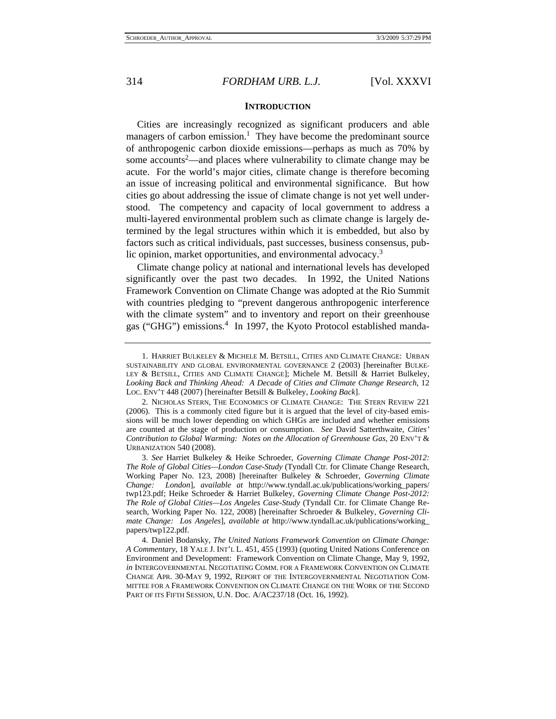#### **INTRODUCTION**

Cities are increasingly recognized as significant producers and able managers of carbon emission.<sup>1</sup> They have become the predominant source of anthropogenic carbon dioxide emissions—perhaps as much as 70% by some accounts<sup>2</sup>—and places where vulnerability to climate change may be acute. For the world's major cities, climate change is therefore becoming an issue of increasing political and environmental significance. But how cities go about addressing the issue of climate change is not yet well understood. The competency and capacity of local government to address a multi-layered environmental problem such as climate change is largely determined by the legal structures within which it is embedded, but also by factors such as critical individuals, past successes, business consensus, public opinion, market opportunities, and environmental advocacy.<sup>3</sup>

Climate change policy at national and international levels has developed significantly over the past two decades. In 1992, the United Nations Framework Convention on Climate Change was adopted at the Rio Summit with countries pledging to "prevent dangerous anthropogenic interference with the climate system" and to inventory and report on their greenhouse gas ("GHG") emissions.<sup>4</sup> In 1997, the Kyoto Protocol established manda-

 <sup>1.</sup> HARRIET BULKELEY & MICHELE M. BETSILL, CITIES AND CLIMATE CHANGE: URBAN SUSTAINABILITY AND GLOBAL ENVIRONMENTAL GOVERNANCE 2 (2003) [hereinafter BULKE-LEY & BETSILL, CITIES AND CLIMATE CHANGE]; Michele M. Betsill & Harriet Bulkeley, *Looking Back and Thinking Ahead: A Decade of Cities and Climate Change Research*, 12 LOC. ENV'T 448 (2007) [hereinafter Betsill & Bulkeley, *Looking Back*].

 <sup>2.</sup> NICHOLAS STERN, THE ECONOMICS OF CLIMATE CHANGE: THE STERN REVIEW 221 (2006). This is a commonly cited figure but it is argued that the level of city-based emissions will be much lower depending on which GHGs are included and whether emissions are counted at the stage of production or consumption. *See* David Satterthwaite, *Cities' Contribution to Global Warming: Notes on the Allocation of Greenhouse Gas*, 20 ENV'T & URBANIZATION 540 (2008).

 <sup>3.</sup> *See* Harriet Bulkeley & Heike Schroeder, *Governing Climate Change Post-2012: The Role of Global Cities—London Case-Study* (Tyndall Ctr. for Climate Change Research, Working Paper No. 123, 2008) [hereinafter Bulkeley & Schroeder, *Governing Climate Change: London*], *available at* http://www.tyndall.ac.uk/publications/working\_papers/ twp123.pdf; Heike Schroeder & Harriet Bulkeley, *Governing Climate Change Post-2012: The Role of Global Cities—Los Angeles Case-Study* (Tyndall Ctr. for Climate Change Research, Working Paper No. 122, 2008) [hereinafter Schroeder & Bulkeley, *Governing Climate Change: Los Angeles*], *available at* http://www.tyndall.ac.uk/publications/working\_ papers/twp122.pdf.

 <sup>4.</sup> Daniel Bodansky, *The United Nations Framework Convention on Climate Change: A Commentary*, 18 YALE J. INT'L L. 451, 455 (1993) (quoting United Nations Conference on Environment and Development: Framework Convention on Climate Change, May 9, 1992, *in* INTERGOVERNMENTAL NEGOTIATING COMM. FOR A FRAMEWORK CONVENTION ON CLIMATE CHANGE APR. 30-MAY 9, 1992, REPORT OF THE INTERGOVERNMENTAL NEGOTIATION COM-MITTEE FOR A FRAMEWORK CONVENTION ON CLIMATE CHANGE ON THE WORK OF THE SECOND PART OF ITS FIFTH SESSION, U.N. Doc. A/AC237/18 (Oct. 16, 1992).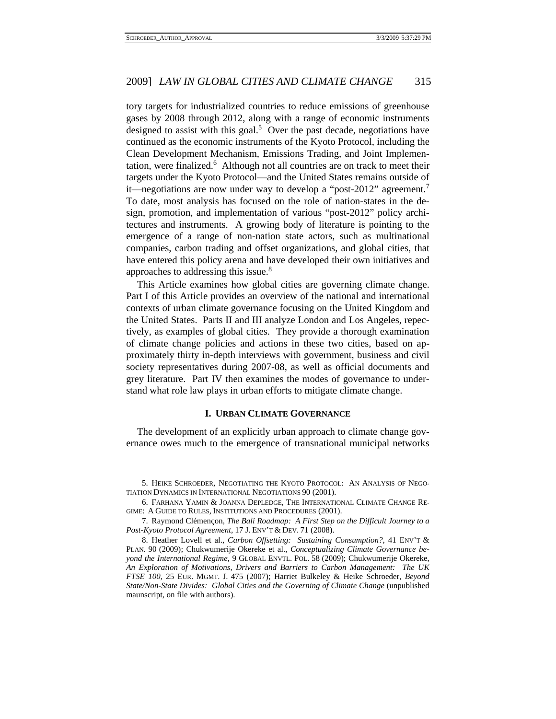tory targets for industrialized countries to reduce emissions of greenhouse gases by 2008 through 2012, along with a range of economic instruments designed to assist with this goal.<sup>5</sup> Over the past decade, negotiations have continued as the economic instruments of the Kyoto Protocol, including the Clean Development Mechanism, Emissions Trading, and Joint Implementation, were finalized.<sup>6</sup> Although not all countries are on track to meet their targets under the Kyoto Protocol—and the United States remains outside of it—negotiations are now under way to develop a "post-2012" agreement.<sup>7</sup> To date, most analysis has focused on the role of nation-states in the design, promotion, and implementation of various "post-2012" policy architectures and instruments. A growing body of literature is pointing to the emergence of a range of non-nation state actors, such as multinational companies, carbon trading and offset organizations, and global cities, that have entered this policy arena and have developed their own initiatives and approaches to addressing this issue.<sup>8</sup>

This Article examines how global cities are governing climate change. Part I of this Article provides an overview of the national and international contexts of urban climate governance focusing on the United Kingdom and the United States. Parts II and III analyze London and Los Angeles, repectively, as examples of global cities. They provide a thorough examination of climate change policies and actions in these two cities, based on approximately thirty in-depth interviews with government, business and civil society representatives during 2007-08, as well as official documents and grey literature. Part IV then examines the modes of governance to understand what role law plays in urban efforts to mitigate climate change.

### **I. URBAN CLIMATE GOVERNANCE**

The development of an explicitly urban approach to climate change governance owes much to the emergence of transnational municipal networks

 <sup>5.</sup> HEIKE SCHROEDER, NEGOTIATING THE KYOTO PROTOCOL: AN ANALYSIS OF NEGO-TIATION DYNAMICS IN INTERNATIONAL NEGOTIATIONS 90 (2001).

 <sup>6.</sup> FARHANA YAMIN & JOANNA DEPLEDGE, THE INTERNATIONAL CLIMATE CHANGE RE-GIME: A GUIDE TO RULES, INSTITUTIONS AND PROCEDURES (2001).

 <sup>7.</sup> Raymond Clémençon, *The Bali Roadmap: A First Step on the Difficult Journey to a Post-Kyoto Protocol Agreement*, 17 J. ENV'T & DEV. 71 (2008).

 <sup>8.</sup> Heather Lovell et al., *Carbon Offsetting: Sustaining Consumption?*, 41 ENV'T & PLAN. 90 (2009); Chukwumerije Okereke et al., *Conceptualizing Climate Governance beyond the International Regime*, 9 GLOBAL ENVTL. POL. 58 (2009); Chukwumerije Okereke, *An Exploration of Motivations, Drivers and Barriers to Carbon Management: The UK FTSE 100*, 25 EUR. MGMT. J. 475 (2007); Harriet Bulkeley & Heike Schroeder, *Beyond State/Non-State Divides: Global Cities and the Governing of Climate Change* (unpublished maunscript, on file with authors).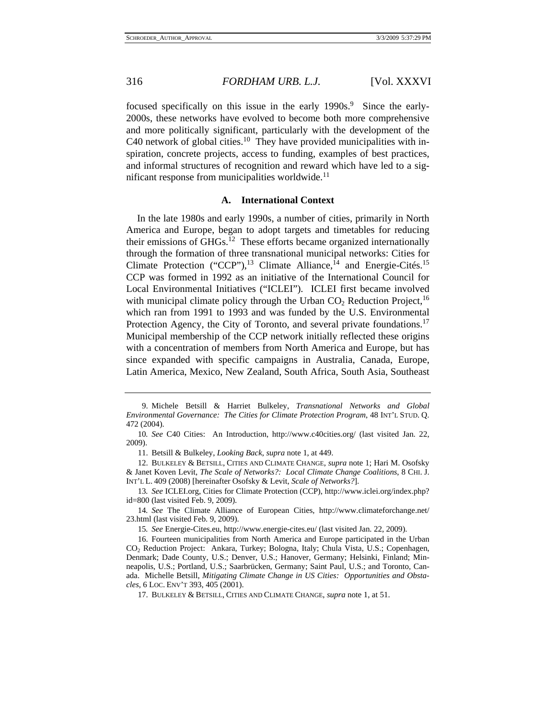focused specifically on this issue in the early 1990s.<sup>9</sup> Since the early-2000s, these networks have evolved to become both more comprehensive and more politically significant, particularly with the development of the C40 network of global cities.<sup>10</sup> They have provided municipalities with inspiration, concrete projects, access to funding, examples of best practices, and informal structures of recognition and reward which have led to a significant response from municipalities worldwide.<sup>11</sup>

#### **A. International Context**

In the late 1980s and early 1990s, a number of cities, primarily in North America and Europe, began to adopt targets and timetables for reducing their emissions of  $GHGs$ <sup>12</sup>. These efforts became organized internationally through the formation of three transnational municipal networks: Cities for Climate Protection ("CCP"),<sup>13</sup> Climate Alliance,<sup> $14$ </sup> and Energie-Cités.<sup>15</sup> CCP was formed in 1992 as an initiative of the International Council for Local Environmental Initiatives ("ICLEI"). ICLEI first became involved with municipal climate policy through the Urban  $CO<sub>2</sub>$  Reduction Project,<sup>16</sup> which ran from 1991 to 1993 and was funded by the U.S. Environmental Protection Agency, the City of Toronto, and several private foundations.<sup>17</sup> Municipal membership of the CCP network initially reflected these origins with a concentration of members from North America and Europe, but has since expanded with specific campaigns in Australia, Canada, Europe, Latin America, Mexico, New Zealand, South Africa, South Asia, Southeast

 <sup>9.</sup> Michele Betsill & Harriet Bulkeley, *Transnational Networks and Global Environmental Governance: The Cities for Climate Protection Program*, 48 INT'L STUD. Q. 472 (2004).

<sup>10</sup>*. See* C40 Cities: An Introduction, http://www.c40cities.org/ (last visited Jan. 22, 2009).

 <sup>11.</sup> Betsill & Bulkeley, *Looking Back*, *supra* note 1, at 449.

 <sup>12.</sup> BULKELEY & BETSILL, CITIES AND CLIMATE CHANGE, *supra* note 1; Hari M. Osofsky & Janet Koven Levit, *The Scale of Networks?: Local Climate Change Coalitions*, 8 CHI. J. INT'L L. 409 (2008) [hereinafter Osofsky & Levit, *Scale of Networks?*].

<sup>13</sup>*. See* ICLEI.org, Cities for Climate Protection (CCP), http://www.iclei.org/index.php? id=800 (last visited Feb. 9, 2009).

<sup>14</sup>*. See* The Climate Alliance of European Cities, http://www.climateforchange.net/ 23.html (last visited Feb. 9, 2009).

<sup>15</sup>*. See* Energie-Cites.eu, http://www.energie-cites.eu/ (last visited Jan. 22, 2009).

 <sup>16.</sup> Fourteen municipalities from North America and Europe participated in the Urban CO2 Reduction Project: Ankara, Turkey; Bologna, Italy; Chula Vista, U.S.; Copenhagen, Denmark; Dade County, U.S.; Denver, U.S.; Hanover, Germany; Helsinki, Finland; Minneapolis, U.S.; Portland, U.S.; Saarbrücken, Germany; Saint Paul, U.S.; and Toronto, Canada. Michelle Betsill, *Mitigating Climate Change in US Cities: Opportunities and Obstacles*, 6 LOC. ENV'T 393, 405 (2001).

 <sup>17.</sup> BULKELEY & BETSILL, CITIES AND CLIMATE CHANGE, *supra* note 1, at 51.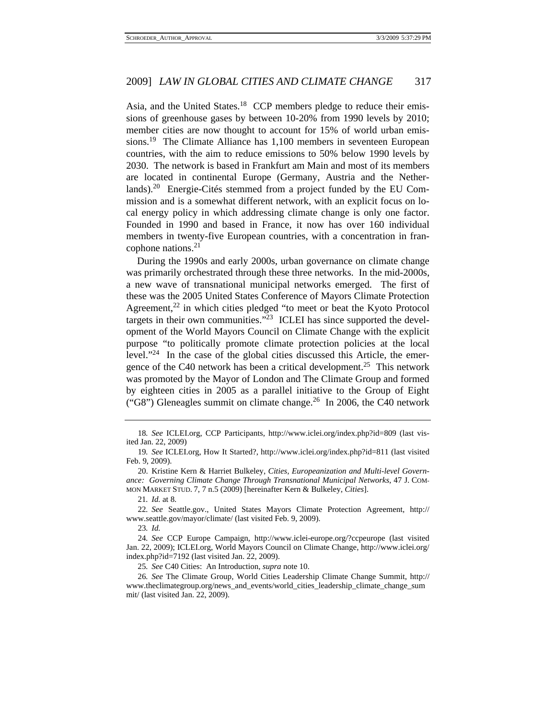Asia, and the United States.<sup>18</sup> CCP members pledge to reduce their emissions of greenhouse gases by between 10-20% from 1990 levels by 2010; member cities are now thought to account for 15% of world urban emissions.19 The Climate Alliance has 1,100 members in seventeen European countries, with the aim to reduce emissions to 50% below 1990 levels by 2030. The network is based in Frankfurt am Main and most of its members are located in continental Europe (Germany, Austria and the Netherlands).20 Energie-Cités stemmed from a project funded by the EU Commission and is a somewhat different network, with an explicit focus on local energy policy in which addressing climate change is only one factor. Founded in 1990 and based in France, it now has over 160 individual members in twenty-five European countries, with a concentration in francophone nations.<sup>21</sup>

During the 1990s and early 2000s, urban governance on climate change was primarily orchestrated through these three networks. In the mid-2000s, a new wave of transnational municipal networks emerged. The first of these was the 2005 United States Conference of Mayors Climate Protection Agreement, $2<sup>2</sup>$  in which cities pledged "to meet or beat the Kyoto Protocol targets in their own communities."<sup>23</sup> ICLEI has since supported the development of the World Mayors Council on Climate Change with the explicit purpose "to politically promote climate protection policies at the local level."24 In the case of the global cities discussed this Article, the emergence of the C40 network has been a critical development.<sup>25</sup> This network was promoted by the Mayor of London and The Climate Group and formed by eighteen cities in 2005 as a parallel initiative to the Group of Eight ("G8") Gleneagles summit on climate change.<sup>26</sup> In 2006, the C40 network

21*. Id.* at 8.

22*. See* Seattle.gov., United States Mayors Climate Protection Agreement, http:// www.seattle.gov/mayor/climate/ (last visited Feb. 9, 2009).

23*. Id.*

<sup>18</sup>*. See* ICLEI.org, CCP Participants, http://www.iclei.org/index.php?id=809 (last visited Jan. 22, 2009)

<sup>19</sup>*. See* ICLEI.org, How It Started?, http://www.iclei.org/index.php?id=811 (last visited Feb. 9, 2009).

 <sup>20.</sup> Kristine Kern & Harriet Bulkeley, *Cities, Europeanization and Multi-level Governance: Governing Climate Change Through Transnational Municipal Networks*, 47 J. COM-MON MARKET STUD. 7, 7 n.5 (2009) [hereinafter Kern & Bulkeley, *Cities*].

<sup>24</sup>*. See* CCP Europe Campaign, http://www.iclei-europe.org/?ccpeurope (last visited Jan. 22, 2009); ICLEI.org, World Mayors Council on Climate Change, http://www.iclei.org/ index.php?id=7192 (last visited Jan. 22, 2009).

<sup>25</sup>*. See* C40 Cities: An Introduction, *supra* note 10.

<sup>26</sup>*. See* The Climate Group, World Cities Leadership Climate Change Summit, http:// www.theclimategroup.org/news\_and\_events/world\_cities\_leadership\_climate\_change\_sum mit/ (last visited Jan. 22, 2009).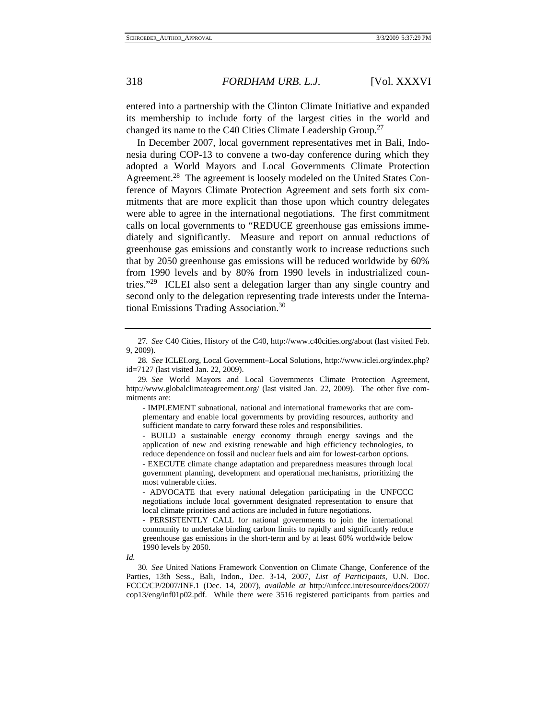entered into a partnership with the Clinton Climate Initiative and expanded its membership to include forty of the largest cities in the world and changed its name to the C40 Cities Climate Leadership Group.27

In December 2007, local government representatives met in Bali, Indonesia during COP-13 to convene a two-day conference during which they adopted a World Mayors and Local Governments Climate Protection Agreement.<sup>28</sup> The agreement is loosely modeled on the United States Conference of Mayors Climate Protection Agreement and sets forth six commitments that are more explicit than those upon which country delegates were able to agree in the international negotiations. The first commitment calls on local governments to "REDUCE greenhouse gas emissions immediately and significantly. Measure and report on annual reductions of greenhouse gas emissions and constantly work to increase reductions such that by 2050 greenhouse gas emissions will be reduced worldwide by 60% from 1990 levels and by 80% from 1990 levels in industrialized countries."29 ICLEI also sent a delegation larger than any single country and second only to the delegation representing trade interests under the International Emissions Trading Association.30

- IMPLEMENT subnational, national and international frameworks that are complementary and enable local governments by providing resources, authority and sufficient mandate to carry forward these roles and responsibilities.

- BUILD a sustainable energy economy through energy savings and the application of new and existing renewable and high efficiency technologies, to reduce dependence on fossil and nuclear fuels and aim for lowest-carbon options.

- EXECUTE climate change adaptation and preparedness measures through local government planning, development and operational mechanisms, prioritizing the most vulnerable cities.

- ADVOCATE that every national delegation participating in the UNFCCC negotiations include local government designated representation to ensure that local climate priorities and actions are included in future negotiations.

- PERSISTENTLY CALL for national governments to join the international community to undertake binding carbon limits to rapidly and significantly reduce greenhouse gas emissions in the short-term and by at least 60% worldwide below 1990 levels by 2050.

*Id.*

30*. See* United Nations Framework Convention on Climate Change, Conference of the Parties, 13th Sess., Bali, Indon., Dec. 3-14, 2007, *List of Participants*, U.N. Doc. FCCC/CP/2007/INF.1 (Dec. 14, 2007), *available at* http://unfccc.int/resource/docs/2007/ cop13/eng/inf01p02.pdf. While there were 3516 registered participants from parties and

<sup>27</sup>*. See* C40 Cities, History of the C40, http://www.c40cities.org/about (last visited Feb. 9, 2009).

<sup>28</sup>*. See* ICLEI.org, Local Government–Local Solutions, http://www.iclei.org/index.php? id=7127 (last visited Jan. 22, 2009).

<sup>29</sup>*. See* World Mayors and Local Governments Climate Protection Agreement, http://www.globalclimateagreement.org/ (last visited Jan. 22, 2009). The other five commitments are: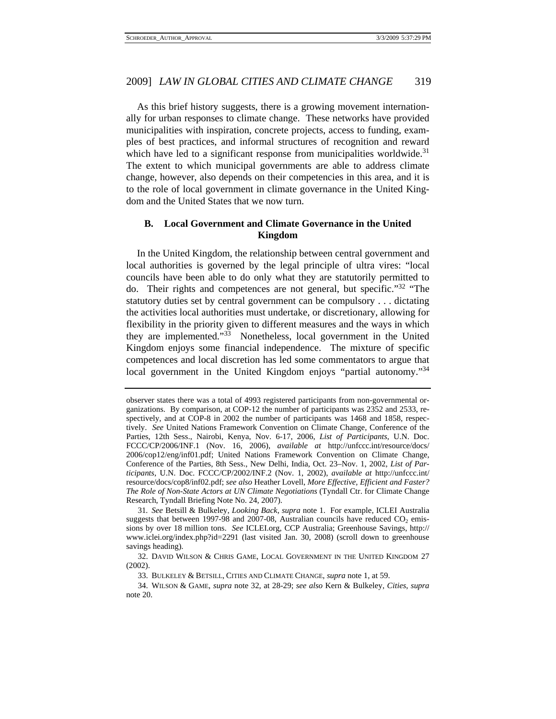As this brief history suggests, there is a growing movement internationally for urban responses to climate change. These networks have provided municipalities with inspiration, concrete projects, access to funding, examples of best practices, and informal structures of recognition and reward which have led to a significant response from municipalities worldwide.<sup>31</sup> The extent to which municipal governments are able to address climate change, however, also depends on their competencies in this area, and it is to the role of local government in climate governance in the United Kingdom and the United States that we now turn.

# **B. Local Government and Climate Governance in the United Kingdom**

In the United Kingdom, the relationship between central government and local authorities is governed by the legal principle of ultra vires: "local councils have been able to do only what they are statutorily permitted to do. Their rights and competences are not general, but specific."32 "The statutory duties set by central government can be compulsory . . . dictating the activities local authorities must undertake, or discretionary, allowing for flexibility in the priority given to different measures and the ways in which they are implemented."33 Nonetheless, local government in the United Kingdom enjoys some financial independence. The mixture of specific competences and local discretion has led some commentators to argue that local government in the United Kingdom enjoys "partial autonomy."<sup>34</sup>

31*. See* Betsill & Bulkeley, *Looking Back*, *supra* note 1. For example, ICLEI Australia suggests that between 1997-98 and 2007-08, Australian councils have reduced  $CO<sub>2</sub>$  emissions by over 18 million tons. *See* ICLEI.org, CCP Australia; Greenhouse Savings, http:// www.iclei.org/index.php?id=2291 (last visited Jan. 30, 2008) (scroll down to greenhouse savings heading).

 32. DAVID WILSON & CHRIS GAME, LOCAL GOVERNMENT IN THE UNITED KINGDOM 27 (2002).

33. BULKELEY & BETSILL, CITIES AND CLIMATE CHANGE, *supra* note 1, at 59.

 34. WILSON & GAME, *supra* note 32, at 28-29; *see also* Kern & Bulkeley, *Cities*, *supra* note 20.

observer states there was a total of 4993 registered participants from non-governmental organizations. By comparison, at COP-12 the number of participants was 2352 and 2533, respectively, and at COP-8 in 2002 the number of participants was 1468 and 1858, respectively. *See* United Nations Framework Convention on Climate Change, Conference of the Parties, 12th Sess., Nairobi, Kenya, Nov. 6-17, 2006, *List of Participants*, U.N. Doc. FCCC/CP/2006/INF.1 (Nov. 16, 2006), *available at* http://unfccc.int/resource/docs/ 2006/cop12/eng/inf01.pdf; United Nations Framework Convention on Climate Change, Conference of the Parties, 8th Sess., New Delhi, India, Oct. 23–Nov. 1, 2002, *List of Participants*, U.N. Doc. FCCC/CP/2002/INF.2 (Nov. 1, 2002), *available at* http://unfccc.int/ resource/docs/cop8/inf02.pdf; *see also* Heather Lovell, *More Effective, Efficient and Faster? The Role of Non-State Actors at UN Climate Negotiations* (Tyndall Ctr. for Climate Change Research, Tyndall Briefing Note No. 24, 2007).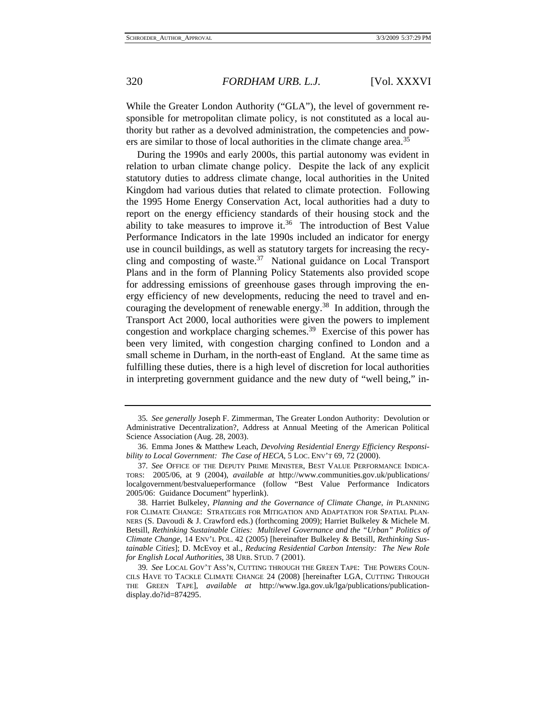While the Greater London Authority ("GLA"), the level of government responsible for metropolitan climate policy, is not constituted as a local authority but rather as a devolved administration, the competencies and powers are similar to those of local authorities in the climate change area.<sup>35</sup>

During the 1990s and early 2000s, this partial autonomy was evident in relation to urban climate change policy. Despite the lack of any explicit statutory duties to address climate change, local authorities in the United Kingdom had various duties that related to climate protection. Following the 1995 Home Energy Conservation Act, local authorities had a duty to report on the energy efficiency standards of their housing stock and the ability to take measures to improve it.<sup>36</sup> The introduction of Best Value Performance Indicators in the late 1990s included an indicator for energy use in council buildings, as well as statutory targets for increasing the recycling and composting of waste. $37$  National guidance on Local Transport Plans and in the form of Planning Policy Statements also provided scope for addressing emissions of greenhouse gases through improving the energy efficiency of new developments, reducing the need to travel and encouraging the development of renewable energy.<sup>38</sup> In addition, through the Transport Act 2000, local authorities were given the powers to implement congestion and workplace charging schemes.39 Exercise of this power has been very limited, with congestion charging confined to London and a small scheme in Durham, in the north-east of England. At the same time as fulfilling these duties, there is a high level of discretion for local authorities in interpreting government guidance and the new duty of "well being," in-

<sup>35</sup>*. See generally* Joseph F. Zimmerman, The Greater London Authority: Devolution or Administrative Decentralization?, Address at Annual Meeting of the American Political Science Association (Aug. 28, 2003).

 <sup>36.</sup> Emma Jones & Matthew Leach, *Devolving Residential Energy Efficiency Responsibility to Local Government: The Case of HECA*, 5 LOC. ENV'T 69, 72 (2000).

<sup>37</sup>*. See* OFFICE OF THE DEPUTY PRIME MINISTER, BEST VALUE PERFORMANCE INDICA-TORS: 2005/06, at 9 (2004), *available at* http://www.communities.gov.uk/publications/ localgovernment/bestvalueperformance (follow "Best Value Performance Indicators 2005/06: Guidance Document" hyperlink).

 <sup>38.</sup> Harriet Bulkeley, *Planning and the Governance of Climate Change*, *in* PLANNING FOR CLIMATE CHANGE: STRATEGIES FOR MITIGATION AND ADAPTATION FOR SPATIAL PLAN-NERS (S. Davoudi & J. Crawford eds.) (forthcoming 2009); Harriet Bulkeley & Michele M. Betsill, *Rethinking Sustainable Cities: Multilevel Governance and the "Urban" Politics of Climate Change*, 14 ENV'L POL. 42 (2005) [hereinafter Bulkeley & Betsill, *Rethinking Sustainable Cities*]; D. McEvoy et al., *Reducing Residential Carbon Intensity: The New Role for English Local Authorities*, 38 URB. STUD. 7 (2001).

<sup>39</sup>*. See* LOCAL GOV'T ASS'N, CUTTING THROUGH THE GREEN TAPE: THE POWERS COUN-CILS HAVE TO TACKLE CLIMATE CHANGE 24 (2008) [hereinafter LGA, CUTTING THROUGH THE GREEN TAPE], *available at* http://www.lga.gov.uk/lga/publications/publicationdisplay.do?id=874295.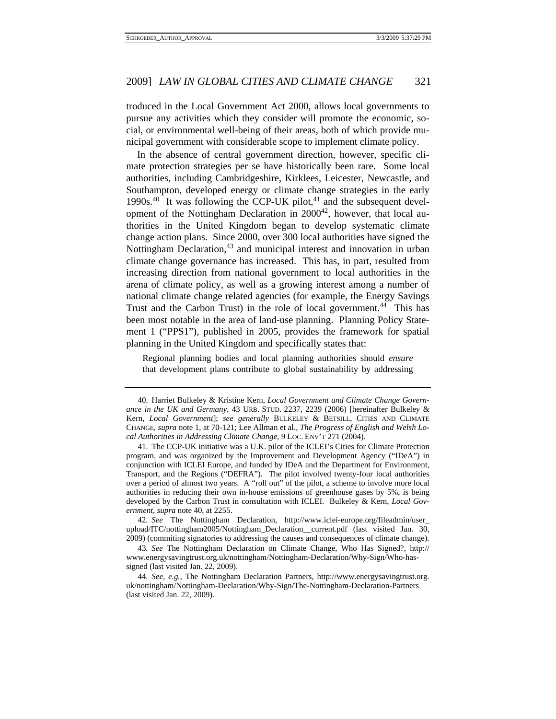troduced in the Local Government Act 2000, allows local governments to pursue any activities which they consider will promote the economic, social, or environmental well-being of their areas, both of which provide municipal government with considerable scope to implement climate policy.

In the absence of central government direction, however, specific climate protection strategies per se have historically been rare. Some local authorities, including Cambridgeshire, Kirklees, Leicester, Newcastle, and Southampton, developed energy or climate change strategies in the early 1990s. $40$  It was following the CCP-UK pilot, $41$  and the subsequent development of the Nottingham Declaration in  $2000^{42}$ , however, that local authorities in the United Kingdom began to develop systematic climate change action plans. Since 2000, over 300 local authorities have signed the Nottingham Declaration,<sup>43</sup> and municipal interest and innovation in urban climate change governance has increased. This has, in part, resulted from increasing direction from national government to local authorities in the arena of climate policy, as well as a growing interest among a number of national climate change related agencies (for example, the Energy Savings Trust and the Carbon Trust) in the role of local government.44 This has been most notable in the area of land-use planning. Planning Policy Statement 1 ("PPS1"), published in 2005, provides the framework for spatial planning in the United Kingdom and specifically states that:

Regional planning bodies and local planning authorities should *ensure* that development plans contribute to global sustainability by addressing

 <sup>40.</sup> Harriet Bulkeley & Kristine Kern, *Local Government and Climate Change Governance in the UK and Germany*, 43 URB. STUD. 2237, 2239 (2006) [hereinafter Bulkeley & Kern, *Local Government*]; *see generally* BULKELEY & BETSILL, CITIES AND CLIMATE CHANGE, *supra* note 1, at 70-121; Lee Allman et al., *The Progress of English and Welsh Local Authorities in Addressing Climate Change*, 9 LOC. ENV'T 271 (2004).

 <sup>41.</sup> The CCP-UK initiative was a U.K. pilot of the ICLEI's Cities for Climate Protection program, and was organized by the Improvement and Development Agency ("IDeA") in conjunction with ICLEI Europe, and funded by IDeA and the Department for Environment, Transport, and the Regions ("DEFRA"). The pilot involved twenty-four local authorities over a period of almost two years. A "roll out" of the pilot, a scheme to involve more local authorities in reducing their own in-house emissions of greenhouse gases by 5%, is being developed by the Carbon Trust in consultation with ICLEI. Bulkeley & Kern, *Local Government*, *supra* note 40, at 2255.

<sup>42</sup>*. See* The Nottingham Declaration, http://www.iclei-europe.org/fileadmin/user\_ upload/ITC/nottingham2005/Nottingham\_Declaration\_\_current.pdf (last visited Jan. 30, 2009) (commiting signatories to addressing the causes and consequences of climate change).

<sup>43</sup>*. See* The Nottingham Declaration on Climate Change, Who Has Signed?, http:// www.energysavingtrust.org.uk/nottingham/Nottingham-Declaration/Why-Sign/Who-hassigned (last visited Jan. 22, 2009).

<sup>44</sup>*. See, e.g.*, The Nottingham Declaration Partners, http://www.energysavingtrust.org. uk/nottingham/Nottingham-Declaration/Why-Sign/The-Nottingham-Declaration-Partners (last visited Jan. 22, 2009).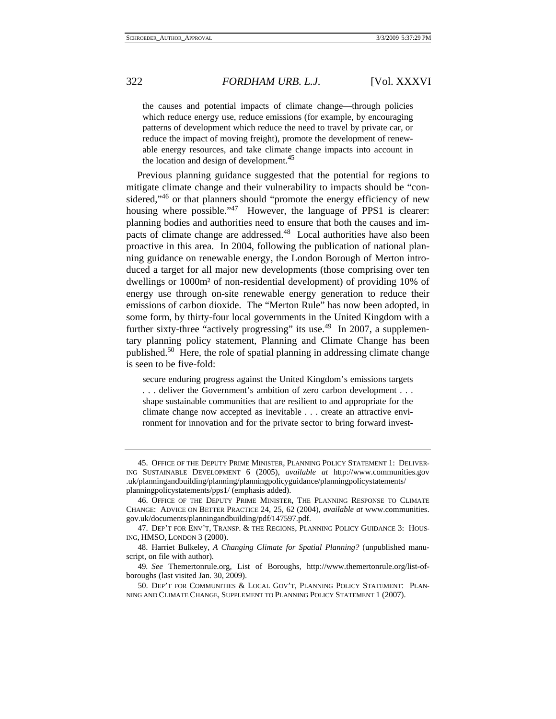the causes and potential impacts of climate change—through policies which reduce energy use, reduce emissions (for example, by encouraging patterns of development which reduce the need to travel by private car, or reduce the impact of moving freight), promote the development of renewable energy resources, and take climate change impacts into account in the location and design of development.<sup>45</sup>

Previous planning guidance suggested that the potential for regions to mitigate climate change and their vulnerability to impacts should be "considered,"<sup>46</sup> or that planners should "promote the energy efficiency of new housing where possible."<sup>47</sup> However, the language of PPS1 is clearer: planning bodies and authorities need to ensure that both the causes and impacts of climate change are addressed.<sup>48</sup> Local authorities have also been proactive in this area. In 2004, following the publication of national planning guidance on renewable energy, the London Borough of Merton introduced a target for all major new developments (those comprising over ten dwellings or 1000m² of non-residential development) of providing 10% of energy use through on-site renewable energy generation to reduce their emissions of carbon dioxide. The "Merton Rule" has now been adopted, in some form, by thirty-four local governments in the United Kingdom with a further sixty-three "actively progressing" its use.<sup>49</sup> In 2007, a supplementary planning policy statement, Planning and Climate Change has been published.50 Here, the role of spatial planning in addressing climate change is seen to be five-fold:

secure enduring progress against the United Kingdom's emissions targets . . . deliver the Government's ambition of zero carbon development . . . shape sustainable communities that are resilient to and appropriate for the climate change now accepted as inevitable . . . create an attractive environment for innovation and for the private sector to bring forward invest-

 <sup>45.</sup> OFFICE OF THE DEPUTY PRIME MINISTER, PLANNING POLICY STATEMENT 1: DELIVER-ING SUSTAINABLE DEVELOPMENT 6 (2005), *available at* http://www.communities.gov .uk/planningandbuilding/planning/planningpolicyguidance/planningpolicystatements/ planningpolicystatements/pps1/ (emphasis added).

 <sup>46.</sup> OFFICE OF THE DEPUTY PRIME MINISTER, THE PLANNING RESPONSE TO CLIMATE CHANGE: ADVICE ON BETTER PRACTICE 24, 25, 62 (2004), *available at* www.communities. gov.uk/documents/planningandbuilding/pdf/147597.pdf.

 <sup>47.</sup> DEP'T FOR ENV'T, TRANSP. & THE REGIONS, PLANNING POLICY GUIDANCE 3: HOUS-ING, HMSO, LONDON 3 (2000).

 <sup>48.</sup> Harriet Bulkeley, *A Changing Climate for Spatial Planning?* (unpublished manuscript, on file with author).

<sup>49</sup>*. See* Themertonrule.org, List of Boroughs, http://www.themertonrule.org/list-ofboroughs (last visited Jan. 30, 2009).

 <sup>50.</sup> DEP'T FOR COMMUNITIES & LOCAL GOV'T, PLANNING POLICY STATEMENT: PLAN-NING AND CLIMATE CHANGE, SUPPLEMENT TO PLANNING POLICY STATEMENT 1 (2007).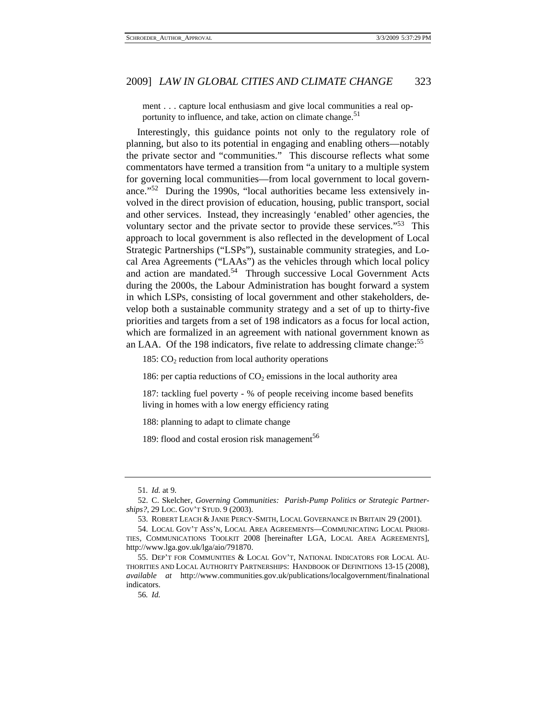ment . . . capture local enthusiasm and give local communities a real opportunity to influence, and take, action on climate change.<sup>51</sup>

Interestingly, this guidance points not only to the regulatory role of planning, but also to its potential in engaging and enabling others—notably the private sector and "communities." This discourse reflects what some commentators have termed a transition from "a unitary to a multiple system for governing local communities—from local government to local governance."52 During the 1990s, "local authorities became less extensively involved in the direct provision of education, housing, public transport, social and other services. Instead, they increasingly 'enabled' other agencies, the voluntary sector and the private sector to provide these services."53 This approach to local government is also reflected in the development of Local Strategic Partnerships ("LSPs"), sustainable community strategies, and Local Area Agreements ("LAAs") as the vehicles through which local policy and action are mandated.<sup>54</sup> Through successive Local Government Acts during the 2000s, the Labour Administration has bought forward a system in which LSPs, consisting of local government and other stakeholders, develop both a sustainable community strategy and a set of up to thirty-five priorities and targets from a set of 198 indicators as a focus for local action, which are formalized in an agreement with national government known as an LAA. Of the 198 indicators, five relate to addressing climate change:<sup>55</sup>

185:  $CO<sub>2</sub>$  reduction from local authority operations

186: per captia reductions of  $CO<sub>2</sub>$  emissions in the local authority area

187: tackling fuel poverty - % of people receiving income based benefits living in homes with a low energy efficiency rating

188: planning to adapt to climate change

189: flood and costal erosion risk management<sup>56</sup>

<sup>51</sup>*. Id.* at 9.

 <sup>52.</sup> C. Skelcher, *Governing Communities: Parish-Pump Politics or Strategic Partnerships?*, 29 LOC. GOV'T STUD. 9 (2003).

 <sup>53.</sup> ROBERT LEACH & JANIE PERCY-SMITH, LOCAL GOVERNANCE IN BRITAIN 29 (2001).

 <sup>54.</sup> LOCAL GOV'T ASS'N, LOCAL AREA AGREEMENTS—COMMUNICATING LOCAL PRIORI-TIES, COMMUNICATIONS TOOLKIT 2008 [hereinafter LGA, LOCAL AREA AGREEMENTS], http://www.lga.gov.uk/lga/aio/791870.

 <sup>55.</sup> DEP'T FOR COMMUNITIES & LOCAL GOV'T, NATIONAL INDICATORS FOR LOCAL AU-THORITIES AND LOCAL AUTHORITY PARTNERSHIPS: HANDBOOK OF DEFINITIONS 13-15 (2008), *available at* http://www.communities.gov.uk/publications/localgovernment/finalnational indicators.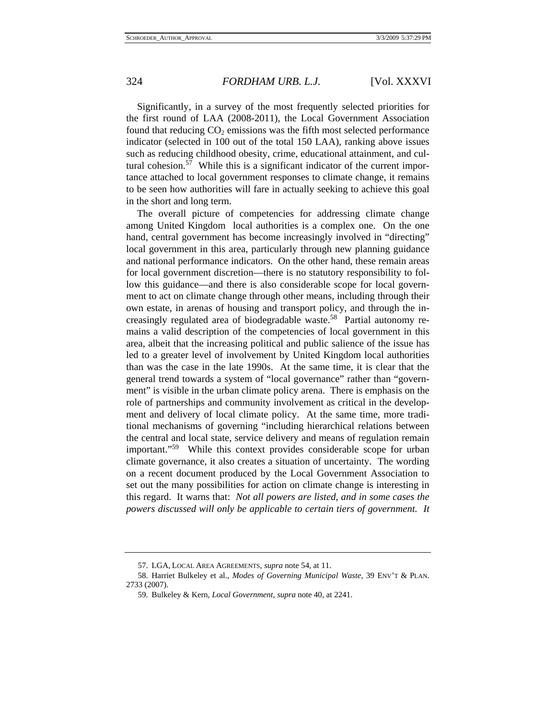Significantly, in a survey of the most frequently selected priorities for the first round of LAA (2008-2011), the Local Government Association found that reducing  $CO<sub>2</sub>$  emissions was the fifth most selected performance indicator (selected in 100 out of the total 150 LAA), ranking above issues such as reducing childhood obesity, crime, educational attainment, and cultural cohesion.<sup>57</sup> While this is a significant indicator of the current importance attached to local government responses to climate change, it remains to be seen how authorities will fare in actually seeking to achieve this goal in the short and long term.

The overall picture of competencies for addressing climate change among United Kingdom local authorities is a complex one. On the one hand, central government has become increasingly involved in "directing" local government in this area, particularly through new planning guidance and national performance indicators. On the other hand, these remain areas for local government discretion—there is no statutory responsibility to follow this guidance—and there is also considerable scope for local government to act on climate change through other means, including through their own estate, in arenas of housing and transport policy, and through the increasingly regulated area of biodegradable waste.<sup>58</sup> Partial autonomy remains a valid description of the competencies of local government in this area, albeit that the increasing political and public salience of the issue has led to a greater level of involvement by United Kingdom local authorities than was the case in the late 1990s. At the same time, it is clear that the general trend towards a system of "local governance" rather than "government" is visible in the urban climate policy arena. There is emphasis on the role of partnerships and community involvement as critical in the development and delivery of local climate policy. At the same time, more traditional mechanisms of governing "including hierarchical relations between the central and local state, service delivery and means of regulation remain important."59 While this context provides considerable scope for urban climate governance, it also creates a situation of uncertainty. The wording on a recent document produced by the Local Government Association to set out the many possibilities for action on climate change is interesting in this regard. It warns that: *Not all powers are listed, and in some cases the powers discussed will only be applicable to certain tiers of government. It* 

 <sup>57.</sup> LGA, LOCAL AREA AGREEMENTS, *supra* note 54, at 11.

 <sup>58.</sup> Harriet Bulkeley et al., *Modes of Governing Municipal Waste*, 39 ENV'T & PLAN. 2733 (2007).

 <sup>59.</sup> Bulkeley & Kern, *Local Government*, *supra* note 40, at 2241.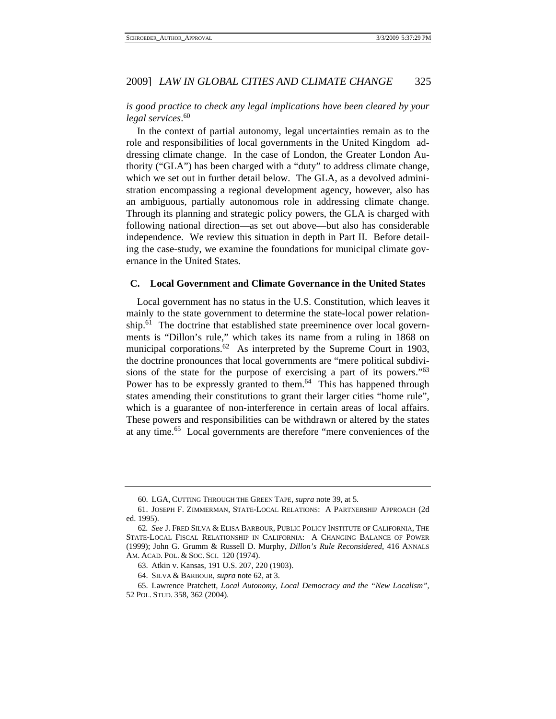# *is good practice to check any legal implications have been cleared by your legal services*. 60

In the context of partial autonomy, legal uncertainties remain as to the role and responsibilities of local governments in the United Kingdom addressing climate change. In the case of London, the Greater London Authority ("GLA") has been charged with a "duty" to address climate change, which we set out in further detail below. The GLA, as a devolved administration encompassing a regional development agency, however, also has an ambiguous, partially autonomous role in addressing climate change. Through its planning and strategic policy powers, the GLA is charged with following national direction—as set out above—but also has considerable independence. We review this situation in depth in Part II. Before detailing the case-study, we examine the foundations for municipal climate governance in the United States.

#### **C. Local Government and Climate Governance in the United States**

Local government has no status in the U.S. Constitution, which leaves it mainly to the state government to determine the state-local power relationship.<sup>61</sup> The doctrine that established state preeminence over local governments is "Dillon's rule," which takes its name from a ruling in 1868 on municipal corporations.<sup>62</sup> As interpreted by the Supreme Court in 1903, the doctrine pronounces that local governments are "mere political subdivisions of the state for the purpose of exercising a part of its powers."<sup>63</sup> Power has to be expressly granted to them.<sup>64</sup> This has happened through states amending their constitutions to grant their larger cities "home rule", which is a guarantee of non-interference in certain areas of local affairs. These powers and responsibilities can be withdrawn or altered by the states at any time.65 Local governments are therefore "mere conveniences of the

 <sup>60.</sup> LGA, CUTTING THROUGH THE GREEN TAPE, *supra* note 39, at 5.

 <sup>61.</sup> JOSEPH F. ZIMMERMAN, STATE-LOCAL RELATIONS: A PARTNERSHIP APPROACH (2d ed. 1995).

<sup>62</sup>*. See* J. FRED SILVA & ELISA BARBOUR, PUBLIC POLICY INSTITUTE OF CALIFORNIA, THE STATE-LOCAL FISCAL RELATIONSHIP IN CALIFORNIA: A CHANGING BALANCE OF POWER (1999); John G. Grumm & Russell D. Murphy, *Dillon's Rule Reconsidered*, 416 ANNALS AM. ACAD. POL. & SOC. SCI. 120 (1974).

 <sup>63.</sup> Atkin v. Kansas, 191 U.S. 207, 220 (1903).

 <sup>64.</sup> SILVA & BARBOUR, *supra* note 62, at 3.

 <sup>65.</sup> Lawrence Pratchett, *Local Autonomy, Local Democracy and the "New Localism"*, 52 POL. STUD. 358, 362 (2004).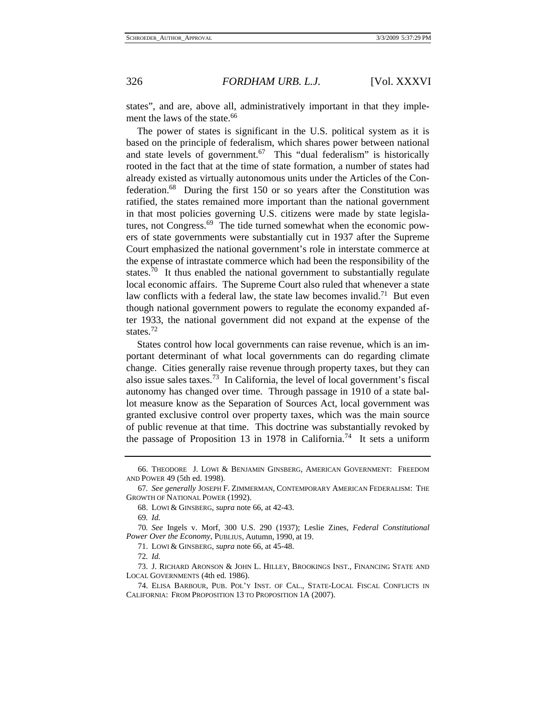states", and are, above all, administratively important in that they implement the laws of the state.<sup>66</sup>

The power of states is significant in the U.S. political system as it is based on the principle of federalism, which shares power between national and state levels of government.<sup>67</sup> This "dual federalism" is historically rooted in the fact that at the time of state formation, a number of states had already existed as virtually autonomous units under the Articles of the Confederation.68 During the first 150 or so years after the Constitution was ratified, the states remained more important than the national government in that most policies governing U.S. citizens were made by state legislatures, not Congress.<sup>69</sup> The tide turned somewhat when the economic powers of state governments were substantially cut in 1937 after the Supreme Court emphasized the national government's role in interstate commerce at the expense of intrastate commerce which had been the responsibility of the states.<sup>70</sup> It thus enabled the national government to substantially regulate local economic affairs. The Supreme Court also ruled that whenever a state law conflicts with a federal law, the state law becomes invalid.<sup>71</sup> But even though national government powers to regulate the economy expanded after 1933, the national government did not expand at the expense of the states $12$ 

States control how local governments can raise revenue, which is an important determinant of what local governments can do regarding climate change. Cities generally raise revenue through property taxes, but they can also issue sales taxes.<sup>73</sup> In California, the level of local government's fiscal autonomy has changed over time. Through passage in 1910 of a state ballot measure know as the Separation of Sources Act, local government was granted exclusive control over property taxes, which was the main source of public revenue at that time. This doctrine was substantially revoked by the passage of Proposition 13 in 1978 in California.<sup>74</sup> It sets a uniform

 <sup>66.</sup> THEODORE J. LOWI & BENJAMIN GINSBERG, AMERICAN GOVERNMENT: FREEDOM AND POWER 49 (5th ed. 1998).

<sup>67</sup>*. See generally* JOSEPH F. ZIMMERMAN, CONTEMPORARY AMERICAN FEDERALISM: THE GROWTH OF NATIONAL POWER (1992).

 <sup>68.</sup> LOWI & GINSBERG, *supra* note 66, at 42-43.

<sup>69</sup>*. Id.*

<sup>70</sup>*. See* Ingels v. Morf, 300 U.S. 290 (1937); Leslie Zines, *Federal Constitutional Power Over the Economy*, PUBLIUS, Autumn, 1990, at 19.

 <sup>71.</sup> LOWI & GINSBERG, *supra* note 66, at 45-48.

<sup>72</sup>*. Id.*

 <sup>73.</sup> J. RICHARD ARONSON & JOHN L. HILLEY, BROOKINGS INST., FINANCING STATE AND LOCAL GOVERNMENTS (4th ed. 1986).

 <sup>74.</sup> ELISA BARBOUR, PUB. POL'Y INST. OF CAL., STATE-LOCAL FISCAL CONFLICTS IN CALIFORNIA: FROM PROPOSITION 13 TO PROPOSITION 1A (2007).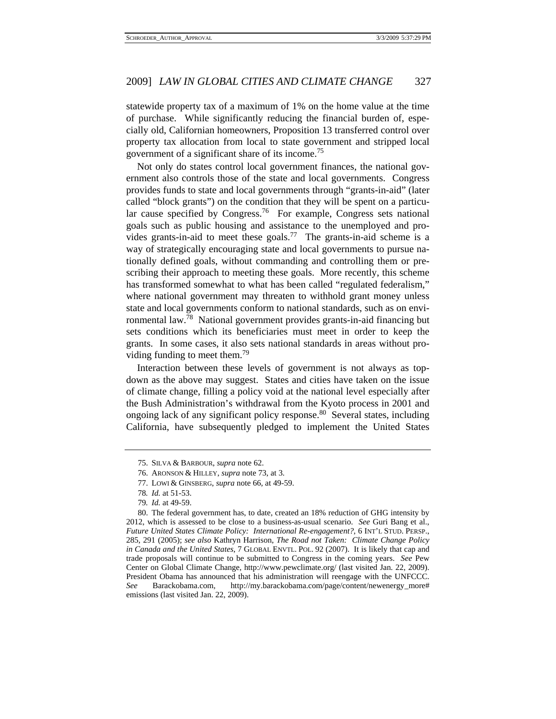statewide property tax of a maximum of 1% on the home value at the time of purchase. While significantly reducing the financial burden of, especially old, Californian homeowners, Proposition 13 transferred control over property tax allocation from local to state government and stripped local government of a significant share of its income.<sup>75</sup>

Not only do states control local government finances, the national government also controls those of the state and local governments. Congress provides funds to state and local governments through "grants-in-aid" (later called "block grants") on the condition that they will be spent on a particular cause specified by Congress.<sup>76</sup> For example, Congress sets national goals such as public housing and assistance to the unemployed and provides grants-in-aid to meet these goals.<sup>77</sup> The grants-in-aid scheme is a way of strategically encouraging state and local governments to pursue nationally defined goals, without commanding and controlling them or prescribing their approach to meeting these goals. More recently, this scheme has transformed somewhat to what has been called "regulated federalism," where national government may threaten to withhold grant money unless state and local governments conform to national standards, such as on environmental law.78 National government provides grants-in-aid financing but sets conditions which its beneficiaries must meet in order to keep the grants. In some cases, it also sets national standards in areas without providing funding to meet them.<sup>79</sup>

Interaction between these levels of government is not always as topdown as the above may suggest. States and cities have taken on the issue of climate change, filling a policy void at the national level especially after the Bush Administration's withdrawal from the Kyoto process in 2001 and ongoing lack of any significant policy response.<sup>80</sup> Several states, including California, have subsequently pledged to implement the United States

 <sup>75.</sup> SILVA & BARBOUR, *supra* note 62.

 <sup>76.</sup> ARONSON & HILLEY, *supra* note 73, at 3.

 <sup>77.</sup> LOWI & GINSBERG, *supra* note 66, at 49-59.

<sup>78</sup>*. Id.* at 51-53.

<sup>79</sup>*. Id.* at 49-59.

 <sup>80.</sup> The federal government has, to date, created an 18% reduction of GHG intensity by 2012, which is assessed to be close to a business-as-usual scenario. *See* Guri Bang et al., *Future United States Climate Policy: International Re-engagement?*, 6 INT'L STUD. PERSP., 285, 291 (2005); *see also* Kathryn Harrison, *The Road not Taken: Climate Change Policy in Canada and the United States*, 7 GLOBAL ENVTL. POL. 92 (2007). It is likely that cap and trade proposals will continue to be submitted to Congress in the coming years. *See* Pew Center on Global Climate Change, http://www.pewclimate.org/ (last visited Jan. 22, 2009). President Obama has announced that his administration will reengage with the UNFCCC. *See* Barackobama.com, http://my.barackobama.com/page/content/newenergy\_more# emissions (last visited Jan. 22, 2009).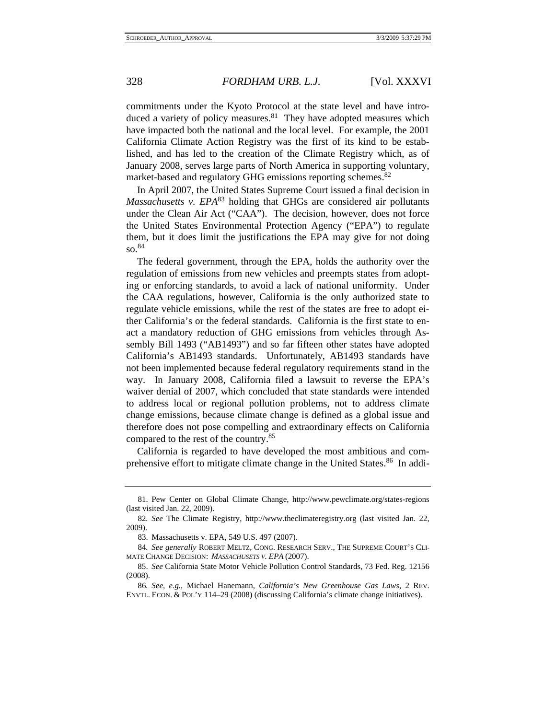commitments under the Kyoto Protocol at the state level and have introduced a variety of policy measures. $81$  They have adopted measures which have impacted both the national and the local level. For example, the 2001 California Climate Action Registry was the first of its kind to be established, and has led to the creation of the Climate Registry which, as of January 2008, serves large parts of North America in supporting voluntary, market-based and regulatory GHG emissions reporting schemes.<sup>82</sup>

In April 2007, the United States Supreme Court issued a final decision in *Massachusetts v. EPA*<sup>83</sup> holding that GHGs are considered air pollutants under the Clean Air Act ("CAA"). The decision, however, does not force the United States Environmental Protection Agency ("EPA") to regulate them, but it does limit the justifications the EPA may give for not doing so.<sup>84</sup>

The federal government, through the EPA, holds the authority over the regulation of emissions from new vehicles and preempts states from adopting or enforcing standards, to avoid a lack of national uniformity. Under the CAA regulations, however, California is the only authorized state to regulate vehicle emissions, while the rest of the states are free to adopt either California's or the federal standards. California is the first state to enact a mandatory reduction of GHG emissions from vehicles through Assembly Bill 1493 ("AB1493") and so far fifteen other states have adopted California's AB1493 standards. Unfortunately, AB1493 standards have not been implemented because federal regulatory requirements stand in the way. In January 2008, California filed a lawsuit to reverse the EPA's waiver denial of 2007, which concluded that state standards were intended to address local or regional pollution problems, not to address climate change emissions, because climate change is defined as a global issue and therefore does not pose compelling and extraordinary effects on California compared to the rest of the country.85

California is regarded to have developed the most ambitious and comprehensive effort to mitigate climate change in the United States.<sup>86</sup> In addi-

 <sup>81.</sup> Pew Center on Global Climate Change, http://www.pewclimate.org/states-regions (last visited Jan. 22, 2009).

<sup>82</sup>*. See* The Climate Registry, http://www.theclimateregistry.org (last visited Jan. 22, 2009).

 <sup>83.</sup> Massachusetts v. EPA, 549 U.S. 497 (2007).

<sup>84</sup>*. See generally* ROBERT MELTZ, CONG. RESEARCH SERV., THE SUPREME COURT'S CLI-MATE CHANGE DECISION: *MASSACHUSETS V. EPA* (2007).

 <sup>85.</sup> *See* California State Motor Vehicle Pollution Control Standards, 73 Fed. Reg. 12156 (2008).

<sup>86</sup>*. See, e.g.*, Michael Hanemann, *California's New Greenhouse Gas Laws*, 2 REV. ENVTL. ECON. & POL'Y 114–29 (2008) (discussing California's climate change initiatives).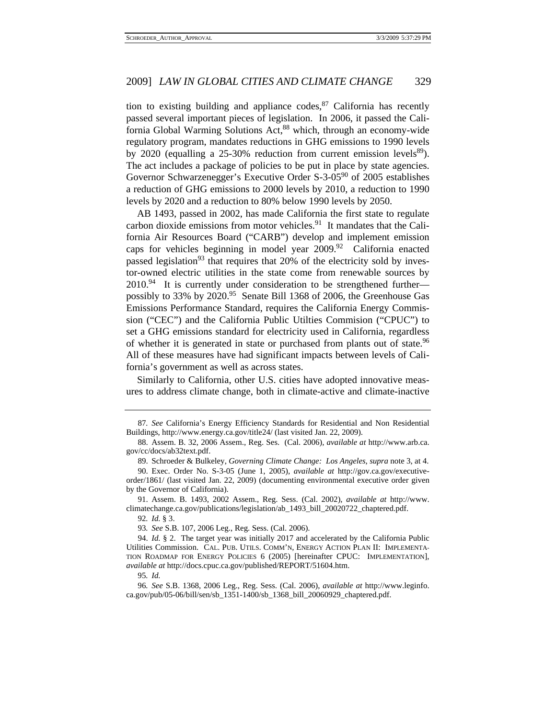tion to existing building and appliance codes,  $87$  California has recently passed several important pieces of legislation. In 2006, it passed the California Global Warming Solutions Act,<sup>88</sup> which, through an economy-wide regulatory program, mandates reductions in GHG emissions to 1990 levels by 2020 (equalling a  $25{\text -}30\%$  reduction from current emission levels<sup>89</sup>). The act includes a package of policies to be put in place by state agencies. Governor Schwarzenegger's Executive Order S-3-0590 of 2005 establishes a reduction of GHG emissions to 2000 levels by 2010, a reduction to 1990 levels by 2020 and a reduction to 80% below 1990 levels by 2050.

AB 1493, passed in 2002, has made California the first state to regulate carbon dioxide emissions from motor vehicles.<sup>91</sup> It mandates that the California Air Resources Board ("CARB") develop and implement emission caps for vehicles beginning in model year  $2009.^{92}$  California enacted passed legislation<sup>93</sup> that requires that 20% of the electricity sold by investor-owned electric utilities in the state come from renewable sources by  $2010.^{94}$  It is currently under consideration to be strengthened further possibly to 33% by 2020.<sup>95</sup> Senate Bill 1368 of 2006, the Greenhouse Gas Emissions Performance Standard, requires the California Energy Commission ("CEC") and the California Public Utilties Commision ("CPUC") to set a GHG emissions standard for electricity used in California, regardless of whether it is generated in state or purchased from plants out of state.<sup>96</sup> All of these measures have had significant impacts between levels of California's government as well as across states.

Similarly to California, other U.S. cities have adopted innovative measures to address climate change, both in climate-active and climate-inactive

89. Schroeder & Bulkeley, *Governing Climate Change: Los Angeles*, *supra* note 3, at 4.

 91. Assem. B. 1493, 2002 Assem., Reg. Sess. (Cal. 2002), *available at* http://www. climatechange.ca.gov/publications/legislation/ab\_1493\_bill\_20020722\_chaptered.pdf.

92*. Id.* § 3.

93*. See* S.B. 107, 2006 Leg., Reg. Sess. (Cal. 2006).

 94. *Id.* § 2. The target year was initially 2017 and accelerated by the California Public Utilities Commission. CAL. PUB. UTILS. COMM'N, ENERGY ACTION PLAN II: IMPLEMENTA-TION ROADMAP FOR ENERGY POLICIES 6 (2005) [hereinafter CPUC: IMPLEMENTATION], *available at* http://docs.cpuc.ca.gov/published/REPORT/51604.htm.

95*. Id.*

96*. See* S.B. 1368, 2006 Leg., Reg. Sess. (Cal. 2006), *available at* http://www.leginfo. ca.gov/pub/05-06/bill/sen/sb\_1351-1400/sb\_1368\_bill\_20060929\_chaptered.pdf.

<sup>87</sup>*. See* California's Energy Efficiency Standards for Residential and Non Residential Buildings, http://www.energy.ca.gov/title24/ (last visited Jan. 22, 2009).

 <sup>88.</sup> Assem. B. 32, 2006 Assem., Reg. Ses. (Cal. 2006), *available at* http://www.arb.ca. gov/cc/docs/ab32text.pdf.

 <sup>90.</sup> Exec. Order No. S-3-05 (June 1, 2005), *available at* http://gov.ca.gov/executiveorder/1861/ (last visited Jan. 22, 2009) (documenting environmental executive order given by the Governor of California).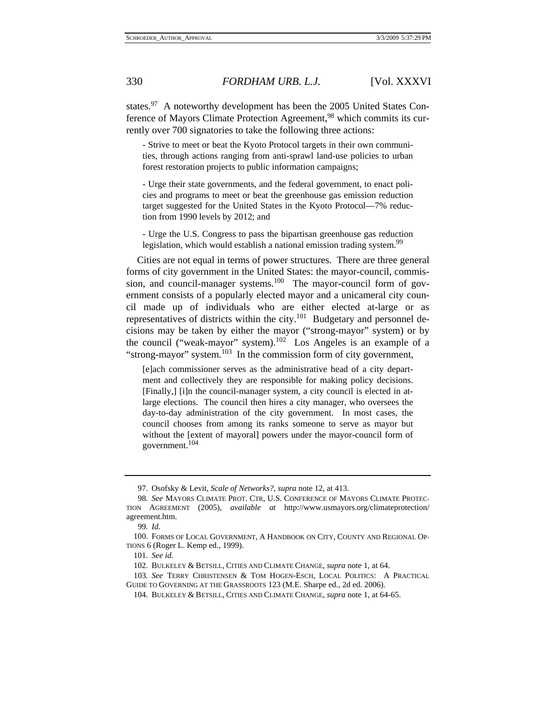states.<sup>97</sup> A noteworthy development has been the 2005 United States Conference of Mayors Climate Protection Agreement,<sup>98</sup> which commits its currently over 700 signatories to take the following three actions:

- Strive to meet or beat the Kyoto Protocol targets in their own communities, through actions ranging from anti-sprawl land-use policies to urban forest restoration projects to public information campaigns;

- Urge their state governments, and the federal government, to enact policies and programs to meet or beat the greenhouse gas emission reduction target suggested for the United States in the Kyoto Protocol—7% reduction from 1990 levels by 2012; and

- Urge the U.S. Congress to pass the bipartisan greenhouse gas reduction legislation, which would establish a national emission trading system.<sup>99</sup>

Cities are not equal in terms of power structures. There are three general forms of city government in the United States: the mayor-council, commission, and council-manager systems.<sup>100</sup> The mayor-council form of government consists of a popularly elected mayor and a unicameral city council made up of individuals who are either elected at-large or as representatives of districts within the city.101 Budgetary and personnel decisions may be taken by either the mayor ("strong-mayor" system) or by the council ("weak-mayor" system).<sup>102</sup> Los Angeles is an example of a "strong-mayor" system.103 In the commission form of city government,

[e]ach commissioner serves as the administrative head of a city department and collectively they are responsible for making policy decisions. [Finally,] [i]n the council-manager system, a city council is elected in atlarge elections. The council then hires a city manager, who oversees the day-to-day administration of the city government. In most cases, the council chooses from among its ranks someone to serve as mayor but without the [extent of mayoral] powers under the mayor-council form of government.<sup>104</sup>

 <sup>97.</sup> Osofsky & Levit, *Scale of Networks?*, *supra* note 12, at 413.

<sup>98</sup>*. See* MAYORS CLIMATE PROT. CTR, U.S. CONFERENCE OF MAYORS CLIMATE PROTEC-TION AGREEMENT (2005), *available at* http://www.usmayors.org/climateprotection/ agreement.htm.

<sup>99</sup>*. Id.*

 <sup>100.</sup> FORMS OF LOCAL GOVERNMENT, A HANDBOOK ON CITY, COUNTY AND REGIONAL OP-TIONS 6 (Roger L. Kemp ed., 1999).

<sup>101</sup>*. See id.*

 <sup>102.</sup> BULKELEY & BETSILL, CITIES AND CLIMATE CHANGE, *supra* note 1, at 64.

<sup>103</sup>*. See* TERRY CHRISTENSEN & TOM HOGEN-ESCH, LOCAL POLITICS: A PRACTICAL GUIDE TO GOVERNING AT THE GRASSROOTS 123 (M.E. Sharpe ed., 2d ed. 2006).

 <sup>104.</sup> BULKELEY & BETSILL, CITIES AND CLIMATE CHANGE, *supra* note 1, at 64-65.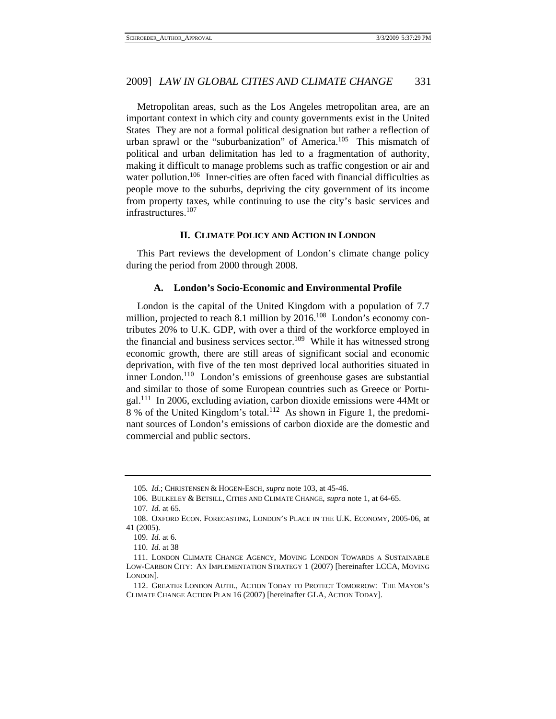Metropolitan areas, such as the Los Angeles metropolitan area, are an important context in which city and county governments exist in the United States They are not a formal political designation but rather a reflection of urban sprawl or the "suburbanization" of America.<sup>105</sup> This mismatch of political and urban delimitation has led to a fragmentation of authority, making it difficult to manage problems such as traffic congestion or air and water pollution.<sup>106</sup> Inner-cities are often faced with financial difficulties as people move to the suburbs, depriving the city government of its income from property taxes, while continuing to use the city's basic services and infrastructures.<sup>107</sup>

#### **II. CLIMATE POLICY AND ACTION IN LONDON**

This Part reviews the development of London's climate change policy during the period from 2000 through 2008.

#### **A. London's Socio-Economic and Environmental Profile**

London is the capital of the United Kingdom with a population of 7.7 million, projected to reach 8.1 million by  $2016$ <sup>108</sup> London's economy contributes 20% to U.K. GDP, with over a third of the workforce employed in the financial and business services sector.<sup>109</sup> While it has witnessed strong economic growth, there are still areas of significant social and economic deprivation, with five of the ten most deprived local authorities situated in inner London.<sup>110</sup> London's emissions of greenhouse gases are substantial and similar to those of some European countries such as Greece or Portugal.111 In 2006, excluding aviation, carbon dioxide emissions were 44Mt or 8 % of the United Kingdom's total.112 As shown in Figure 1, the predominant sources of London's emissions of carbon dioxide are the domestic and commercial and public sectors.

<sup>105</sup>*. Id.*; CHRISTENSEN & HOGEN-ESCH, *supra* note 103, at 45-46.

 <sup>106.</sup> BULKELEY & BETSILL, CITIES AND CLIMATE CHANGE, *supra* note 1, at 64-65.

<sup>107</sup>*. Id.* at 65.

 <sup>108.</sup> OXFORD ECON. FORECASTING, LONDON'S PLACE IN THE U.K. ECONOMY, 2005-06, at 41 (2005).

 <sup>109.</sup> *Id.* at 6.

 <sup>110.</sup> *Id.* at 38

 <sup>111.</sup> LONDON CLIMATE CHANGE AGENCY, MOVING LONDON TOWARDS A SUSTAINABLE LOW-CARBON CITY: AN IMPLEMENTATION STRATEGY 1 (2007) [hereinafter LCCA, MOVING LONDON].

 <sup>112.</sup> GREATER LONDON AUTH., ACTION TODAY TO PROTECT TOMORROW: THE MAYOR'S CLIMATE CHANGE ACTION PLAN 16 (2007) [hereinafter GLA, ACTION TODAY].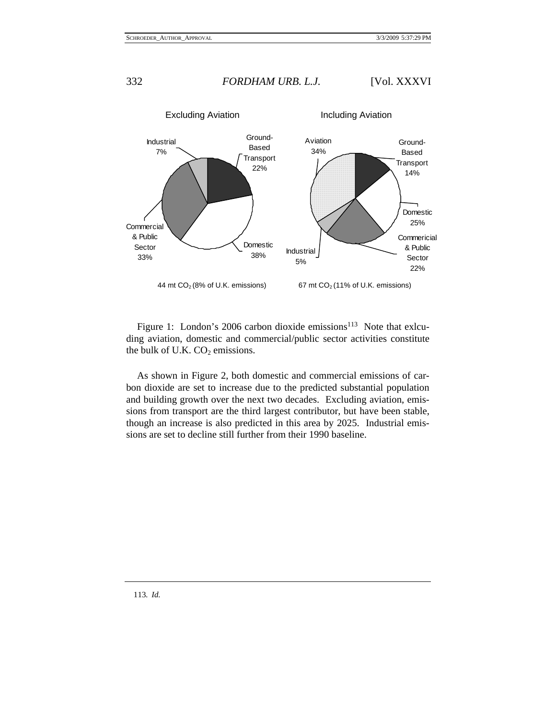

Figure 1: London's 2006 carbon dioxide emissions<sup>113</sup> Note that exlcuding aviation, domestic and commercial/public sector activities constitute the bulk of U.K.  $CO<sub>2</sub>$  emissions.

As shown in Figure 2, both domestic and commercial emissions of carbon dioxide are set to increase due to the predicted substantial population and building growth over the next two decades. Excluding aviation, emissions from transport are the third largest contributor, but have been stable, though an increase is also predicted in this area by 2025. Industrial emissions are set to decline still further from their 1990 baseline.

113*. Id.*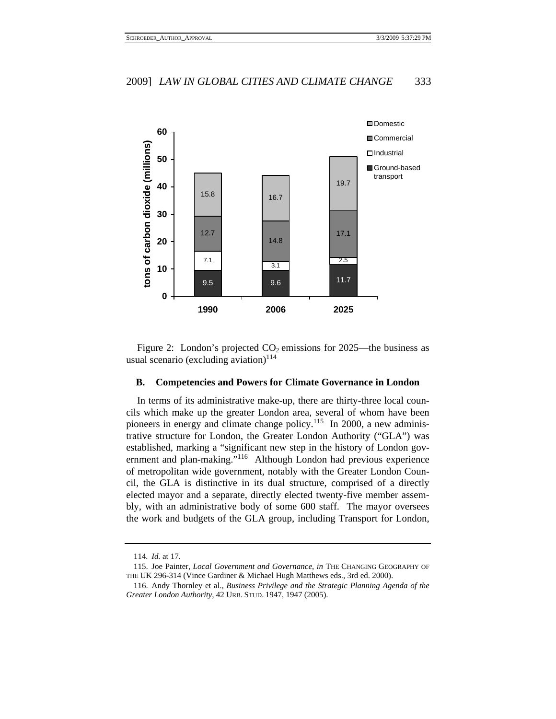

Figure 2: London's projected  $CO<sub>2</sub>$  emissions for 2025—the business as usual scenario (excluding aviation) $114$ 

## **B. Competencies and Powers for Climate Governance in London**

In terms of its administrative make-up, there are thirty-three local councils which make up the greater London area, several of whom have been pioneers in energy and climate change policy.115 In 2000, a new administrative structure for London, the Greater London Authority ("GLA") was established, marking a "significant new step in the history of London government and plan-making."116 Although London had previous experience of metropolitan wide government, notably with the Greater London Council, the GLA is distinctive in its dual structure, comprised of a directly elected mayor and a separate, directly elected twenty-five member assembly, with an administrative body of some 600 staff. The mayor oversees the work and budgets of the GLA group, including Transport for London,

<sup>114</sup>*. Id.* at 17.

 <sup>115.</sup> Joe Painter, *Local Government and Governance*, *in* THE CHANGING GEOGRAPHY OF THE UK 296-314 (Vince Gardiner & Michael Hugh Matthews eds., 3rd ed. 2000).

 <sup>116.</sup> Andy Thornley et al., *Business Privilege and the Strategic Planning Agenda of the Greater London Authority*, 42 URB. STUD. 1947, 1947 (2005).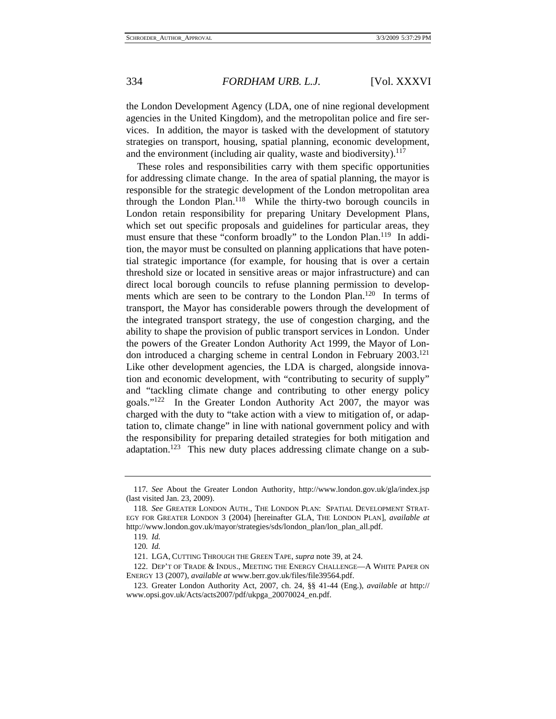the London Development Agency (LDA, one of nine regional development agencies in the United Kingdom), and the metropolitan police and fire services. In addition, the mayor is tasked with the development of statutory strategies on transport, housing, spatial planning, economic development, and the environment (including air quality, waste and biodiversity).<sup>117</sup>

These roles and responsibilities carry with them specific opportunities for addressing climate change. In the area of spatial planning, the mayor is responsible for the strategic development of the London metropolitan area through the London Plan.<sup>118</sup> While the thirty-two borough councils in London retain responsibility for preparing Unitary Development Plans, which set out specific proposals and guidelines for particular areas, they must ensure that these "conform broadly" to the London Plan.119 In addition, the mayor must be consulted on planning applications that have potential strategic importance (for example, for housing that is over a certain threshold size or located in sensitive areas or major infrastructure) and can direct local borough councils to refuse planning permission to developments which are seen to be contrary to the London Plan.<sup>120</sup> In terms of transport, the Mayor has considerable powers through the development of the integrated transport strategy, the use of congestion charging, and the ability to shape the provision of public transport services in London. Under the powers of the Greater London Authority Act 1999, the Mayor of London introduced a charging scheme in central London in February 2003.121 Like other development agencies, the LDA is charged, alongside innovation and economic development, with "contributing to security of supply" and "tackling climate change and contributing to other energy policy goals."122 In the Greater London Authority Act 2007, the mayor was charged with the duty to "take action with a view to mitigation of, or adaptation to, climate change" in line with national government policy and with the responsibility for preparing detailed strategies for both mitigation and adaptation.123 This new duty places addressing climate change on a sub-

<sup>117</sup>*. See* About the Greater London Authority, http://www.london.gov.uk/gla/index.jsp (last visited Jan. 23, 2009).

<sup>118</sup>*. See* GREATER LONDON AUTH., THE LONDON PLAN: SPATIAL DEVELOPMENT STRAT-EGY FOR GREATER LONDON 3 (2004) [hereinafter GLA, THE LONDON PLAN], *available at* http://www.london.gov.uk/mayor/strategies/sds/london\_plan/lon\_plan\_all.pdf.

<sup>119</sup>*. Id.*

<sup>120</sup>*. Id.*

 <sup>121.</sup> LGA, CUTTING THROUGH THE GREEN TAPE, *supra* note 39, at 24.

 <sup>122.</sup> DEP'T OF TRADE & INDUS., MEETING THE ENERGY CHALLENGE—A WHITE PAPER ON ENERGY 13 (2007), *available at* www.berr.gov.uk/files/file39564.pdf.

 <sup>123.</sup> Greater London Authority Act, 2007, ch. 24, §§ 41-44 (Eng.), *available at* http:// www.opsi.gov.uk/Acts/acts2007/pdf/ukpga\_20070024\_en.pdf.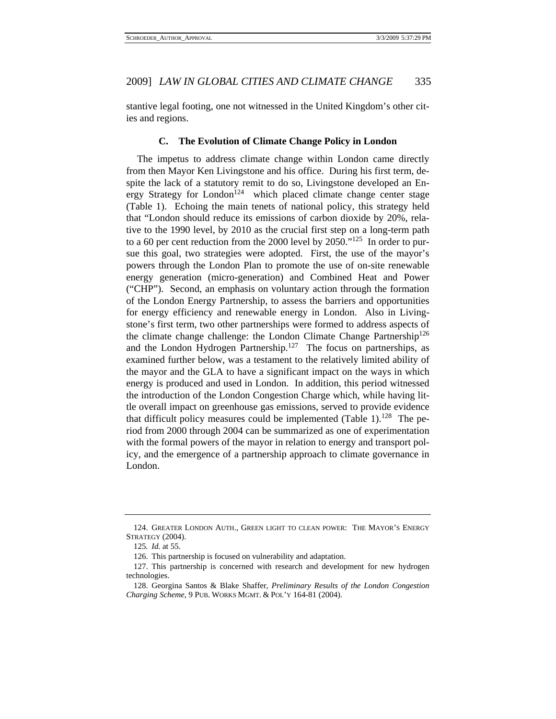stantive legal footing, one not witnessed in the United Kingdom's other cities and regions.

#### **C. The Evolution of Climate Change Policy in London**

The impetus to address climate change within London came directly from then Mayor Ken Livingstone and his office. During his first term, despite the lack of a statutory remit to do so, Livingstone developed an Energy Strategy for London<sup>124</sup> which placed climate change center stage (Table 1). Echoing the main tenets of national policy, this strategy held that "London should reduce its emissions of carbon dioxide by 20%, relative to the 1990 level, by 2010 as the crucial first step on a long-term path to a 60 per cent reduction from the 2000 level by  $2050.^{125}$  In order to pursue this goal, two strategies were adopted. First, the use of the mayor's powers through the London Plan to promote the use of on-site renewable energy generation (micro-generation) and Combined Heat and Power ("CHP"). Second, an emphasis on voluntary action through the formation of the London Energy Partnership, to assess the barriers and opportunities for energy efficiency and renewable energy in London. Also in Livingstone's first term, two other partnerships were formed to address aspects of the climate change challenge: the London Climate Change Partnership<sup>126</sup> and the London Hydrogen Partnership.<sup>127</sup> The focus on partnerships, as examined further below, was a testament to the relatively limited ability of the mayor and the GLA to have a significant impact on the ways in which energy is produced and used in London. In addition, this period witnessed the introduction of the London Congestion Charge which, while having little overall impact on greenhouse gas emissions, served to provide evidence that difficult policy measures could be implemented (Table 1).<sup>128</sup> The period from 2000 through 2004 can be summarized as one of experimentation with the formal powers of the mayor in relation to energy and transport policy, and the emergence of a partnership approach to climate governance in London.

 <sup>124.</sup> GREATER LONDON AUTH., GREEN LIGHT TO CLEAN POWER: THE MAYOR'S ENERGY STRATEGY (2004).

<sup>125</sup>*. Id.* at 55.

 <sup>126.</sup> This partnership is focused on vulnerability and adaptation.

 <sup>127.</sup> This partnership is concerned with research and development for new hydrogen technologies.

 <sup>128.</sup> Georgina Santos & Blake Shaffer, *Preliminary Results of the London Congestion Charging Scheme*, 9 PUB. WORKS MGMT. & POL'Y 164-81 (2004).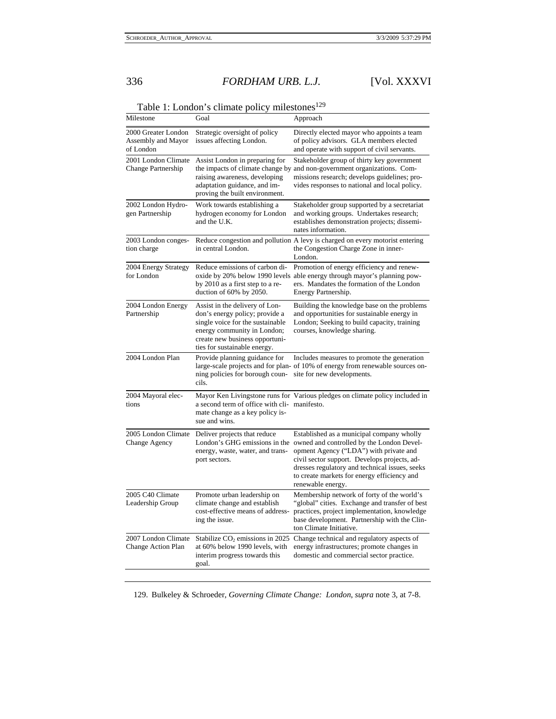| Milestone                                              | Goal                                                                                                                                                                                                  | Approach                                                                                                                                                                                                                                                                                               |
|--------------------------------------------------------|-------------------------------------------------------------------------------------------------------------------------------------------------------------------------------------------------------|--------------------------------------------------------------------------------------------------------------------------------------------------------------------------------------------------------------------------------------------------------------------------------------------------------|
| 2000 Greater London<br>Assembly and Mayor<br>of London | Strategic oversight of policy<br>issues affecting London.                                                                                                                                             | Directly elected mayor who appoints a team<br>of policy advisors. GLA members elected<br>and operate with support of civil servants.                                                                                                                                                                   |
| 2001 London Climate<br>Change Partnership              | Assist London in preparing for<br>raising awareness, developing<br>adaptation guidance, and im-<br>proving the built environment.                                                                     | Stakeholder group of thirty key government<br>the impacts of climate change by and non-government organizations. Com-<br>missions research; develops guidelines; pro-<br>vides responses to national and local policy.                                                                                 |
| 2002 London Hydro-<br>gen Partnership                  | Work towards establishing a<br>hydrogen economy for London<br>and the U.K.                                                                                                                            | Stakeholder group supported by a secretariat<br>and working groups. Undertakes research;<br>establishes demonstration projects; dissemi-<br>nates information.                                                                                                                                         |
| 2003 London conges-<br>tion charge                     | in central London.                                                                                                                                                                                    | Reduce congestion and pollution A levy is charged on every motorist entering<br>the Congestion Charge Zone in inner-<br>London.                                                                                                                                                                        |
| 2004 Energy Strategy<br>for London                     | Reduce emissions of carbon di-<br>by 2010 as a first step to a re-<br>duction of 60% by 2050.                                                                                                         | Promotion of energy efficiency and renew-<br>oxide by 20% below 1990 levels able energy through mayor's planning pow-<br>ers. Mandates the formation of the London<br>Energy Partnership.                                                                                                              |
| 2004 London Energy<br>Partnership                      | Assist in the delivery of Lon-<br>don's energy policy; provide a<br>single voice for the sustainable<br>energy community in London;<br>create new business opportuni-<br>ties for sustainable energy. | Building the knowledge base on the problems<br>and opportunities for sustainable energy in<br>London; Seeking to build capacity, training<br>courses, knowledge sharing.                                                                                                                               |
| 2004 London Plan                                       | Provide planning guidance for<br>ning policies for borough coun-<br>cils.                                                                                                                             | Includes measures to promote the generation<br>large-scale projects and for plan- of 10% of energy from renewable sources on-<br>site for new developments.                                                                                                                                            |
| 2004 Mayoral elec-<br>tions                            | a second term of office with cli- manifesto.<br>mate change as a key policy is-<br>sue and wins.                                                                                                      | Mayor Ken Livingstone runs for Various pledges on climate policy included in                                                                                                                                                                                                                           |
| 2005 London Climate<br>Change Agency                   | Deliver projects that reduce<br>London's GHG emissions in the<br>energy, waste, water, and trans-<br>port sectors.                                                                                    | Established as a municipal company wholly<br>owned and controlled by the London Devel-<br>opment Agency ("LDA") with private and<br>civil sector support. Develops projects, ad-<br>dresses regulatory and technical issues, seeks<br>to create markets for energy efficiency and<br>renewable energy. |
| 2005 C40 Climate<br>Leadership Group                   | Promote urban leadership on<br>climate change and establish<br>cost-effective means of address-<br>ing the issue.                                                                                     | Membership network of forty of the world's<br>"global" cities. Exchange and transfer of best<br>practices, project implementation, knowledge<br>base development. Partnership with the Clin-<br>ton Climate Initiative.                                                                                |
| 2007 London Climate<br>Change Action Plan              | Stabilize CO <sub>2</sub> emissions in 2025<br>at 60% below 1990 levels, with<br>interim progress towards this<br>goal.                                                                               | Change technical and regulatory aspects of<br>energy infrastructures; promote changes in<br>domestic and commercial sector practice.                                                                                                                                                                   |

Table 1: London's climate policy milestones<sup>129</sup>

129. Bulkeley & Schroeder, *Governing Climate Change: London*, *supra* note 3, at 7-8.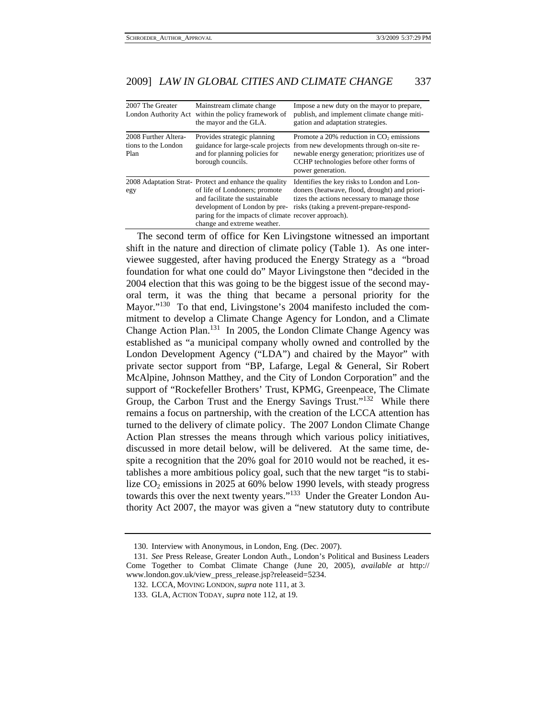| 2007 The Greater<br>London Authority Act            | Mainstream climate change<br>within the policy framework of<br>the mayor and the GLA.                                                                                                                                                            | Impose a new duty on the mayor to prepare,<br>publish, and implement climate change miti-<br>gation and adaptation strategies.                                                                                                                       |
|-----------------------------------------------------|--------------------------------------------------------------------------------------------------------------------------------------------------------------------------------------------------------------------------------------------------|------------------------------------------------------------------------------------------------------------------------------------------------------------------------------------------------------------------------------------------------------|
| 2008 Further Altera-<br>tions to the London<br>Plan | Provides strategic planning<br>and for planning policies for<br>borough councils.                                                                                                                                                                | Promote a 20% reduction in CO <sub>2</sub> emissions<br>guidance for large-scale projects from new developments through on-site re-<br>newable energy generation; prioritizes use of<br>CCHP technologies before other forms of<br>power generation. |
| egy                                                 | 2008 Adaptation Strat-Protect and enhance the quality<br>of life of Londoners; promote<br>and facilitate the sustainable<br>development of London by pre-<br>paring for the impacts of climate recover approach).<br>change and extreme weather. | Identifies the key risks to London and Lon-<br>doners (heatwave, flood, drought) and priori-<br>tizes the actions necessary to manage those<br>risks (taking a prevent-prepare-respond-                                                              |

The second term of office for Ken Livingstone witnessed an important shift in the nature and direction of climate policy (Table 1). As one interviewee suggested, after having produced the Energy Strategy as a "broad foundation for what one could do" Mayor Livingstone then "decided in the 2004 election that this was going to be the biggest issue of the second mayoral term, it was the thing that became a personal priority for the Mayor."<sup>130</sup> To that end, Livingstone's 2004 manifesto included the commitment to develop a Climate Change Agency for London, and a Climate Change Action Plan.<sup>131</sup> In 2005, the London Climate Change Agency was established as "a municipal company wholly owned and controlled by the London Development Agency ("LDA") and chaired by the Mayor" with private sector support from "BP, Lafarge, Legal & General, Sir Robert McAlpine, Johnson Matthey, and the City of London Corporation" and the support of "Rockefeller Brothers' Trust, KPMG, Greenpeace, The Climate Group, the Carbon Trust and the Energy Savings Trust."132 While there remains a focus on partnership, with the creation of the LCCA attention has turned to the delivery of climate policy. The 2007 London Climate Change Action Plan stresses the means through which various policy initiatives, discussed in more detail below, will be delivered. At the same time, despite a recognition that the 20% goal for 2010 would not be reached, it establishes a more ambitious policy goal, such that the new target "is to stabilize  $CO<sub>2</sub>$  emissions in 2025 at 60% below 1990 levels, with steady progress towards this over the next twenty years."133 Under the Greater London Authority Act 2007, the mayor was given a "new statutory duty to contribute

 <sup>130.</sup> Interview with Anonymous, in London, Eng. (Dec. 2007).

<sup>131</sup>*. See* Press Release, Greater London Auth., London's Political and Business Leaders Come Together to Combat Climate Change (June 20, 2005), *available at* http:// www.london.gov.uk/view\_press\_release.jsp?releaseid=5234.

 <sup>132.</sup> LCCA, MOVING LONDON, *supra* note 111, at 3.

 <sup>133.</sup> GLA, ACTION TODAY, *supra* note 112, at 19.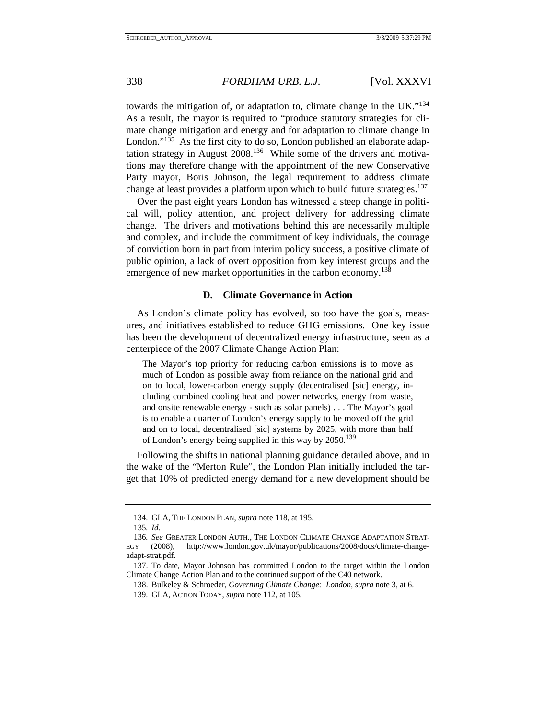towards the mitigation of, or adaptation to, climate change in the UK."134 As a result, the mayor is required to "produce statutory strategies for climate change mitigation and energy and for adaptation to climate change in London."<sup>135</sup> As the first city to do so, London published an elaborate adaptation strategy in August 2008.136 While some of the drivers and motivations may therefore change with the appointment of the new Conservative Party mayor, Boris Johnson, the legal requirement to address climate change at least provides a platform upon which to build future strategies.<sup>137</sup>

Over the past eight years London has witnessed a steep change in political will, policy attention, and project delivery for addressing climate change. The drivers and motivations behind this are necessarily multiple and complex, and include the commitment of key individuals, the courage of conviction born in part from interim policy success, a positive climate of public opinion, a lack of overt opposition from key interest groups and the emergence of new market opportunities in the carbon economy.<sup>138</sup>

#### **D. Climate Governance in Action**

As London's climate policy has evolved, so too have the goals, measures, and initiatives established to reduce GHG emissions. One key issue has been the development of decentralized energy infrastructure, seen as a centerpiece of the 2007 Climate Change Action Plan:

The Mayor's top priority for reducing carbon emissions is to move as much of London as possible away from reliance on the national grid and on to local, lower-carbon energy supply (decentralised [sic] energy, including combined cooling heat and power networks, energy from waste, and onsite renewable energy - such as solar panels) . . . The Mayor's goal is to enable a quarter of London's energy supply to be moved off the grid and on to local, decentralised [sic] systems by 2025, with more than half of London's energy being supplied in this way by 2050.<sup>139</sup>

Following the shifts in national planning guidance detailed above, and in the wake of the "Merton Rule", the London Plan initially included the target that 10% of predicted energy demand for a new development should be

 <sup>134.</sup> GLA, THE LONDON PLAN, *supra* note 118, at 195.

<sup>135</sup>*. Id.*

<sup>136</sup>*. See* GREATER LONDON AUTH., THE LONDON CLIMATE CHANGE ADAPTATION STRAT-EGY (2008), http://www.london.gov.uk/mayor/publications/2008/docs/climate-changeadapt-strat.pdf.

 <sup>137.</sup> To date, Mayor Johnson has committed London to the target within the London Climate Change Action Plan and to the continued support of the C40 network.

 <sup>138.</sup> Bulkeley & Schroeder, *Governing Climate Change: London*, *supra* note 3, at 6.

 <sup>139.</sup> GLA, ACTION TODAY, *supra* note 112, at 105.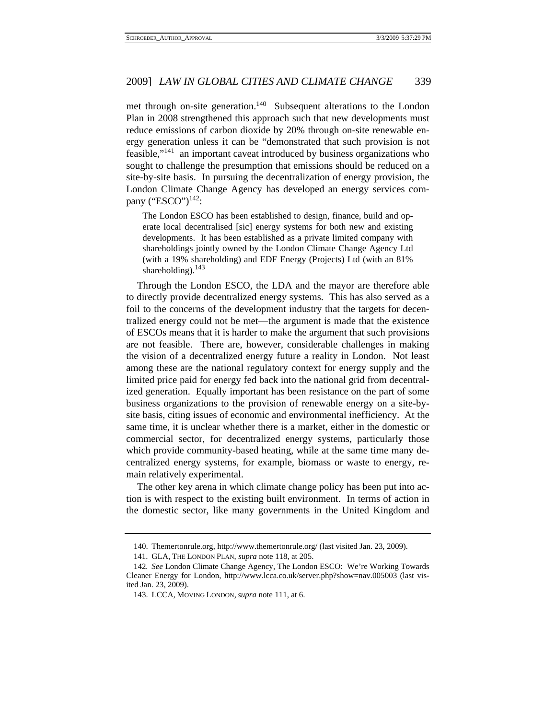met through on-site generation.<sup>140</sup> Subsequent alterations to the London Plan in 2008 strengthened this approach such that new developments must reduce emissions of carbon dioxide by 20% through on-site renewable energy generation unless it can be "demonstrated that such provision is not feasible,"141 an important caveat introduced by business organizations who sought to challenge the presumption that emissions should be reduced on a site-by-site basis. In pursuing the decentralization of energy provision, the London Climate Change Agency has developed an energy services company ("ESCO") $^{142}$ :

The London ESCO has been established to design, finance, build and operate local decentralised [sic] energy systems for both new and existing developments. It has been established as a private limited company with shareholdings jointly owned by the London Climate Change Agency Ltd (with a 19% shareholding) and EDF Energy (Projects) Ltd (with an 81% shareholding). $143$ 

Through the London ESCO, the LDA and the mayor are therefore able to directly provide decentralized energy systems. This has also served as a foil to the concerns of the development industry that the targets for decentralized energy could not be met—the argument is made that the existence of ESCOs means that it is harder to make the argument that such provisions are not feasible. There are, however, considerable challenges in making the vision of a decentralized energy future a reality in London. Not least among these are the national regulatory context for energy supply and the limited price paid for energy fed back into the national grid from decentralized generation. Equally important has been resistance on the part of some business organizations to the provision of renewable energy on a site-bysite basis, citing issues of economic and environmental inefficiency. At the same time, it is unclear whether there is a market, either in the domestic or commercial sector, for decentralized energy systems, particularly those which provide community-based heating, while at the same time many decentralized energy systems, for example, biomass or waste to energy, remain relatively experimental.

The other key arena in which climate change policy has been put into action is with respect to the existing built environment. In terms of action in the domestic sector, like many governments in the United Kingdom and

 <sup>140.</sup> Themertonrule.org, http://www.themertonrule.org/ (last visited Jan. 23, 2009).

 <sup>141.</sup> GLA, THE LONDON PLAN, *supra* note 118, at 205.

<sup>142</sup>*. See* London Climate Change Agency, The London ESCO: We're Working Towards Cleaner Energy for London, http://www.lcca.co.uk/server.php?show=nav.005003 (last visited Jan. 23, 2009).

 <sup>143.</sup> LCCA, MOVING LONDON, *supra* note 111, at 6.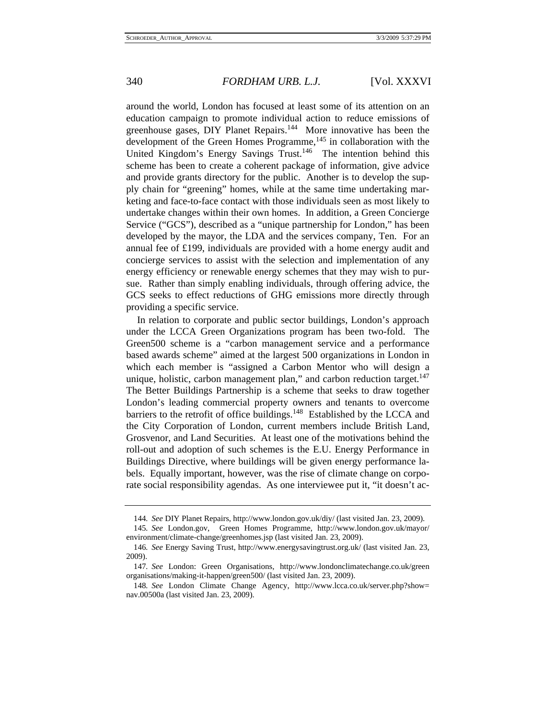around the world, London has focused at least some of its attention on an education campaign to promote individual action to reduce emissions of greenhouse gases, DIY Planet Repairs.<sup>144</sup> More innovative has been the development of the Green Homes Programme,<sup>145</sup> in collaboration with the United Kingdom's Energy Savings Trust.<sup>146</sup> The intention behind this scheme has been to create a coherent package of information, give advice and provide grants directory for the public. Another is to develop the supply chain for "greening" homes, while at the same time undertaking marketing and face-to-face contact with those individuals seen as most likely to undertake changes within their own homes. In addition, a Green Concierge Service ("GCS"), described as a "unique partnership for London," has been developed by the mayor, the LDA and the services company, Ten. For an annual fee of £199, individuals are provided with a home energy audit and concierge services to assist with the selection and implementation of any energy efficiency or renewable energy schemes that they may wish to pursue. Rather than simply enabling individuals, through offering advice, the GCS seeks to effect reductions of GHG emissions more directly through providing a specific service.

In relation to corporate and public sector buildings, London's approach under the LCCA Green Organizations program has been two-fold. The Green500 scheme is a "carbon management service and a performance based awards scheme" aimed at the largest 500 organizations in London in which each member is "assigned a Carbon Mentor who will design a unique, holistic, carbon management plan," and carbon reduction target.<sup>147</sup> The Better Buildings Partnership is a scheme that seeks to draw together London's leading commercial property owners and tenants to overcome barriers to the retrofit of office buildings.<sup>148</sup> Established by the LCCA and the City Corporation of London, current members include British Land, Grosvenor, and Land Securities. At least one of the motivations behind the roll-out and adoption of such schemes is the E.U. Energy Performance in Buildings Directive, where buildings will be given energy performance labels. Equally important, however, was the rise of climate change on corporate social responsibility agendas. As one interviewee put it, "it doesn't ac-

<sup>144</sup>*. See* DIY Planet Repairs, http://www.london.gov.uk/diy/ (last visited Jan. 23, 2009).

<sup>145</sup>*. See* London.gov, Green Homes Programme, http://www.london.gov.uk/mayor/ environment/climate-change/greenhomes.jsp (last visited Jan. 23, 2009).

<sup>146</sup>*. See* Energy Saving Trust, http://www.energysavingtrust.org.uk/ (last visited Jan. 23, 2009).

<sup>147</sup>*. See* London: Green Organisations, http://www.londonclimatechange.co.uk/green organisations/making-it-happen/green500/ (last visited Jan. 23, 2009).

<sup>148</sup>*. See* London Climate Change Agency, http://www.lcca.co.uk/server.php?show= nav.00500a (last visited Jan. 23, 2009).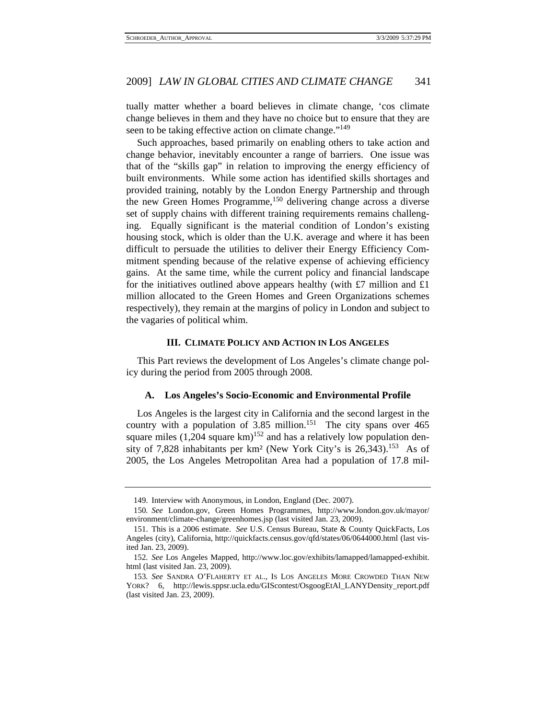tually matter whether a board believes in climate change, 'cos climate change believes in them and they have no choice but to ensure that they are seen to be taking effective action on climate change."<sup>149</sup>

Such approaches, based primarily on enabling others to take action and change behavior, inevitably encounter a range of barriers. One issue was that of the "skills gap" in relation to improving the energy efficiency of built environments. While some action has identified skills shortages and provided training, notably by the London Energy Partnership and through the new Green Homes Programme,150 delivering change across a diverse set of supply chains with different training requirements remains challenging. Equally significant is the material condition of London's existing housing stock, which is older than the U.K. average and where it has been difficult to persuade the utilities to deliver their Energy Efficiency Commitment spending because of the relative expense of achieving efficiency gains. At the same time, while the current policy and financial landscape for the initiatives outlined above appears healthy (with  $\pounds 7$  million and  $\pounds 1$ million allocated to the Green Homes and Green Organizations schemes respectively), they remain at the margins of policy in London and subject to the vagaries of political whim.

#### **III. CLIMATE POLICY AND ACTION IN LOS ANGELES**

This Part reviews the development of Los Angeles's climate change policy during the period from 2005 through 2008.

#### **A. Los Angeles's Socio-Economic and Environmental Profile**

Los Angeles is the largest city in California and the second largest in the country with a population of 3.85 million.<sup>151</sup> The city spans over 465 square miles  $(1,204 \text{ square km})^{152}$  and has a relatively low population density of 7,828 inhabitants per km<sup>2</sup> (New York City's is 26,343).<sup>153</sup> As of 2005, the Los Angeles Metropolitan Area had a population of 17.8 mil-

 <sup>149.</sup> Interview with Anonymous, in London, England (Dec. 2007).

<sup>150</sup>*. See* London.gov, Green Homes Programmes, http://www.london.gov.uk/mayor/ environment/climate-change/greenhomes.jsp (last visited Jan. 23, 2009).

 <sup>151.</sup> This is a 2006 estimate. *See* U.S. Census Bureau, State & County QuickFacts, Los Angeles (city), California, http://quickfacts.census.gov/qfd/states/06/0644000.html (last visited Jan. 23, 2009).

<sup>152</sup>*. See* Los Angeles Mapped, http://www.loc.gov/exhibits/lamapped/lamapped-exhibit. html (last visited Jan. 23, 2009).

<sup>153</sup>*. See* SANDRA O'FLAHERTY ET AL., IS LOS ANGELES MORE CROWDED THAN NEW YORK? 6, http://lewis.sppsr.ucla.edu/GIScontest/OsgoogEtAl\_LANYDensity\_report.pdf (last visited Jan. 23, 2009).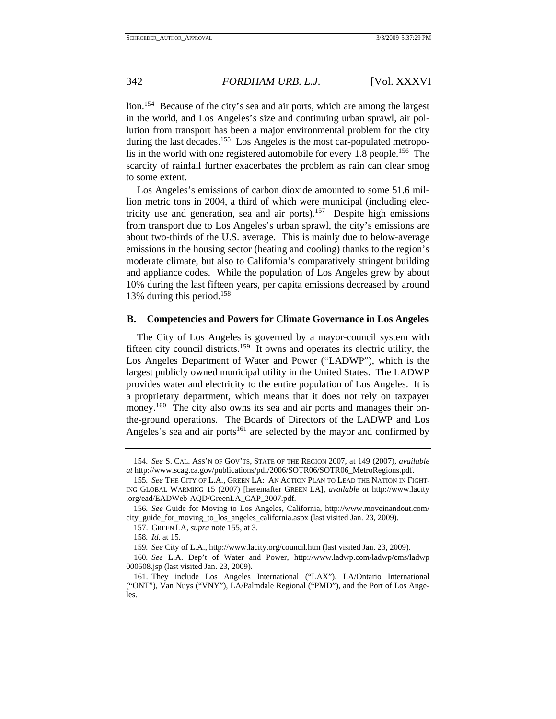lion.154 Because of the city's sea and air ports, which are among the largest in the world, and Los Angeles's size and continuing urban sprawl, air pollution from transport has been a major environmental problem for the city during the last decades.<sup>155</sup> Los Angeles is the most car-populated metropolis in the world with one registered automobile for every 1.8 people.<sup>156</sup> The scarcity of rainfall further exacerbates the problem as rain can clear smog to some extent.

Los Angeles's emissions of carbon dioxide amounted to some 51.6 million metric tons in 2004, a third of which were municipal (including electricity use and generation, sea and air ports).<sup>157</sup> Despite high emissions from transport due to Los Angeles's urban sprawl, the city's emissions are about two-thirds of the U.S. average. This is mainly due to below-average emissions in the housing sector (heating and cooling) thanks to the region's moderate climate, but also to California's comparatively stringent building and appliance codes. While the population of Los Angeles grew by about 10% during the last fifteen years, per capita emissions decreased by around 13% during this period.<sup>158</sup>

#### **B. Competencies and Powers for Climate Governance in Los Angeles**

The City of Los Angeles is governed by a mayor-council system with fifteen city council districts.159 It owns and operates its electric utility, the Los Angeles Department of Water and Power ("LADWP"), which is the largest publicly owned municipal utility in the United States. The LADWP provides water and electricity to the entire population of Los Angeles. It is a proprietary department, which means that it does not rely on taxpayer money.<sup>160</sup> The city also owns its sea and air ports and manages their onthe-ground operations. The Boards of Directors of the LADWP and Los Angeles's sea and air ports<sup>161</sup> are selected by the mayor and confirmed by

<sup>154</sup>*. See* S. CAL. ASS'N OF GOV'TS, STATE OF THE REGION 2007, at 149 (2007), *available at* http://www.scag.ca.gov/publications/pdf/2006/SOTR06/SOTR06\_MetroRegions.pdf.

<sup>155</sup>*. See* THE CITY OF L.A., GREEN LA: AN ACTION PLAN TO LEAD THE NATION IN FIGHT-ING GLOBAL WARMING 15 (2007) [hereinafter GREEN LA], *available at* http://www.lacity .org/ead/EADWeb-AQD/GreenLA\_CAP\_2007.pdf.

<sup>156</sup>*. See* Guide for Moving to Los Angeles, California, http://www.moveinandout.com/ city\_guide\_for\_moving\_to\_los\_angeles\_california.aspx (last visited Jan. 23, 2009).

 <sup>157.</sup> GREEN LA, *supra* note 155, at 3.

<sup>158</sup>*. Id.* at 15.

<sup>159</sup>*. See* City of L.A., http://www.lacity.org/council.htm (last visited Jan. 23, 2009).

<sup>160</sup>*. See* L.A. Dep't of Water and Power, http://www.ladwp.com/ladwp/cms/ladwp 000508.jsp (last visited Jan. 23, 2009).

 <sup>161.</sup> They include Los Angeles International ("LAX"), LA/Ontario International ("ONT"), Van Nuys ("VNY"), LA/Palmdale Regional ("PMD"), and the Port of Los Angeles.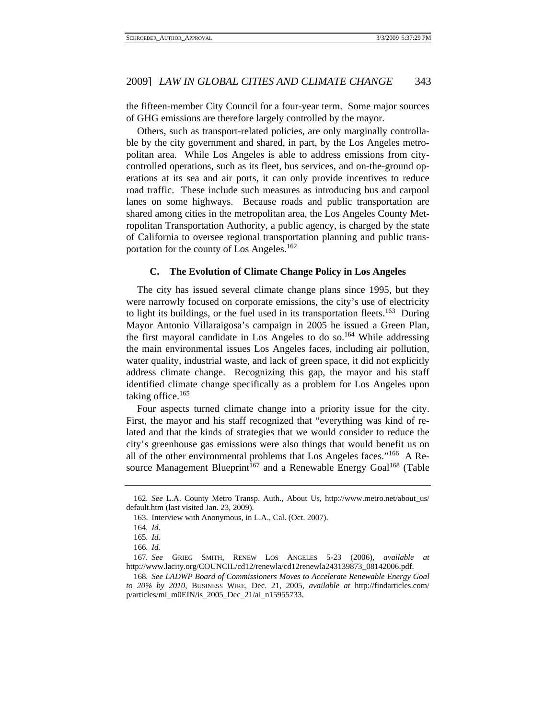the fifteen-member City Council for a four-year term. Some major sources of GHG emissions are therefore largely controlled by the mayor.

Others, such as transport-related policies, are only marginally controllable by the city government and shared, in part, by the Los Angeles metropolitan area. While Los Angeles is able to address emissions from citycontrolled operations, such as its fleet, bus services, and on-the-ground operations at its sea and air ports, it can only provide incentives to reduce road traffic. These include such measures as introducing bus and carpool lanes on some highways. Because roads and public transportation are shared among cities in the metropolitan area, the Los Angeles County Metropolitan Transportation Authority, a public agency, is charged by the state of California to oversee regional transportation planning and public transportation for the county of Los Angeles.<sup>162</sup>

#### **C. The Evolution of Climate Change Policy in Los Angeles**

The city has issued several climate change plans since 1995, but they were narrowly focused on corporate emissions, the city's use of electricity to light its buildings, or the fuel used in its transportation fleets.<sup>163</sup> During Mayor Antonio Villaraigosa's campaign in 2005 he issued a Green Plan, the first mayoral candidate in Los Angeles to do so.<sup>164</sup> While addressing the main environmental issues Los Angeles faces, including air pollution, water quality, industrial waste, and lack of green space, it did not explicitly address climate change. Recognizing this gap, the mayor and his staff identified climate change specifically as a problem for Los Angeles upon taking office. $165$ 

Four aspects turned climate change into a priority issue for the city. First, the mayor and his staff recognized that "everything was kind of related and that the kinds of strategies that we would consider to reduce the city's greenhouse gas emissions were also things that would benefit us on all of the other environmental problems that Los Angeles faces."166 A Resource Management Blueprint<sup>167</sup> and a Renewable Energy Goal<sup>168</sup> (Table

<sup>162</sup>*. See* L.A. County Metro Transp. Auth., About Us, http://www.metro.net/about\_us/ default.htm (last visited Jan. 23, 2009).

 <sup>163.</sup> Interview with Anonymous, in L.A., Cal. (Oct. 2007).

<sup>164</sup>*. Id.*

<sup>165</sup>*. Id.*

<sup>166</sup>*. Id.*

<sup>167</sup>*. See* GRIEG SMITH, RENEW LOS ANGELES 5-23 (2006), *available at* http://www.lacity.org/COUNCIL/cd12/renewla/cd12renewla243139873\_08142006.pdf.

<sup>168</sup>*. See LADWP Board of Commissioners Moves to Accelerate Renewable Energy Goal to 20% by 2010*, BUSINESS WIRE, Dec. 21, 2005, *available at* http://findarticles.com/ p/articles/mi\_m0EIN/is\_2005\_Dec\_21/ai\_n15955733.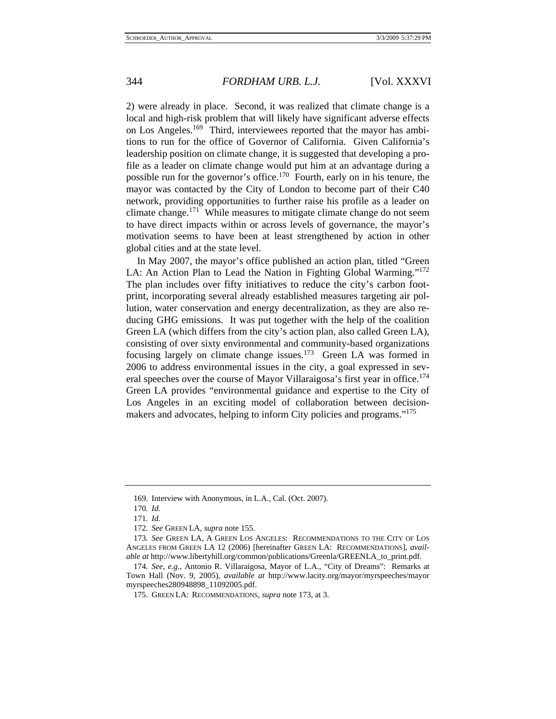2) were already in place. Second, it was realized that climate change is a local and high-risk problem that will likely have significant adverse effects on Los Angeles.169 Third, interviewees reported that the mayor has ambitions to run for the office of Governor of California. Given California's leadership position on climate change, it is suggested that developing a profile as a leader on climate change would put him at an advantage during a possible run for the governor's office.170 Fourth, early on in his tenure, the mayor was contacted by the City of London to become part of their C40 network, providing opportunities to further raise his profile as a leader on climate change.171 While measures to mitigate climate change do not seem to have direct impacts within or across levels of governance, the mayor's motivation seems to have been at least strengthened by action in other global cities and at the state level.

In May 2007, the mayor's office published an action plan, titled "Green LA: An Action Plan to Lead the Nation in Fighting Global Warming."172 The plan includes over fifty initiatives to reduce the city's carbon footprint, incorporating several already established measures targeting air pollution, water conservation and energy decentralization, as they are also reducing GHG emissions. It was put together with the help of the coalition Green LA (which differs from the city's action plan, also called Green LA), consisting of over sixty environmental and community-based organizations focusing largely on climate change issues.173 Green LA was formed in 2006 to address environmental issues in the city, a goal expressed in several speeches over the course of Mayor Villaraigosa's first year in office.<sup>174</sup> Green LA provides "environmental guidance and expertise to the City of Los Angeles in an exciting model of collaboration between decisionmakers and advocates, helping to inform City policies and programs."175

 <sup>169.</sup> Interview with Anonymous, in L.A., Cal. (Oct. 2007).

<sup>170</sup>*. Id.*

<sup>171</sup>*. Id.*

<sup>172</sup>*. See* GREEN LA, *supra* note 155.

<sup>173</sup>*. See* GREEN LA, A GREEN LOS ANGELES: RECOMMENDATIONS TO THE CITY OF LOS ANGELES FROM GREEN LA 12 (2006) [hereinafter GREEN LA: RECOMMENDATIONS], *available at* http://www.libertyhill.org/common/publications/Greenla/GREENLA\_to\_print.pdf.

<sup>174</sup>*. See, e.g.*, Antonio R. Villaraigosa, Mayor of L.A., "City of Dreams": Remarks at Town Hall (Nov. 9, 2005), *available at* http://www.lacity.org/mayor/myrspeeches/mayor myrspeeches280948898\_11092005.pdf.

 <sup>175.</sup> GREEN LA: RECOMMENDATIONS, *supra* note 173, at 3.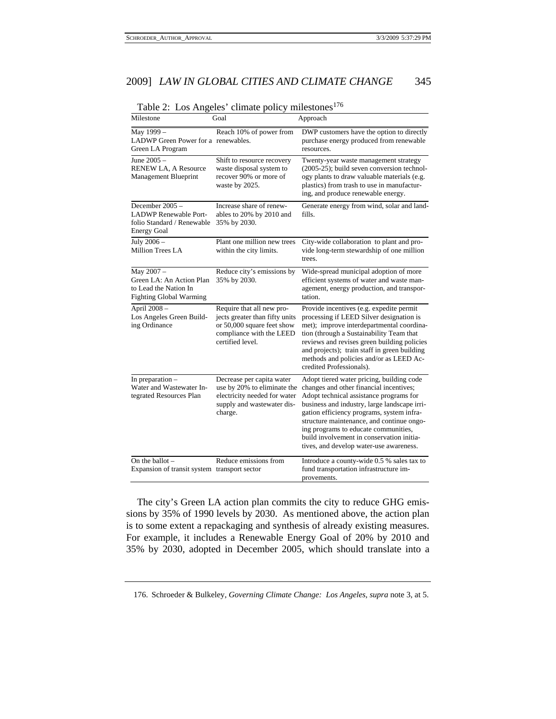| Milestone                                                                                           | Goal                                                                                                                                      | Approach                                                                                                                                                                                                                                                                                                                                                                                                  |
|-----------------------------------------------------------------------------------------------------|-------------------------------------------------------------------------------------------------------------------------------------------|-----------------------------------------------------------------------------------------------------------------------------------------------------------------------------------------------------------------------------------------------------------------------------------------------------------------------------------------------------------------------------------------------------------|
| May 1999-<br>LADWP Green Power for a renewables.<br>Green LA Program                                | Reach 10% of power from                                                                                                                   | DWP customers have the option to directly<br>purchase energy produced from renewable<br>resources.                                                                                                                                                                                                                                                                                                        |
| June 2005 -<br>RENEW LA, A Resource<br>Management Blueprint                                         | Shift to resource recovery<br>waste disposal system to<br>recover 90% or more of<br>waste by 2025.                                        | Twenty-year waste management strategy<br>(2005-25); build seven conversion technol-<br>ogy plants to draw valuable materials (e.g.<br>plastics) from trash to use in manufactur-<br>ing, and produce renewable energy.                                                                                                                                                                                    |
| December 2005 -<br><b>LADWP</b> Renewable Port-<br>folio Standard / Renewable<br><b>Energy Goal</b> | Increase share of renew-<br>ables to 20% by 2010 and<br>35% by 2030.                                                                      | Generate energy from wind, solar and land-<br>fills.                                                                                                                                                                                                                                                                                                                                                      |
| July 2006 -<br>Million Trees LA                                                                     | Plant one million new trees<br>within the city limits.                                                                                    | City-wide collaboration to plant and pro-<br>vide long-term stewardship of one million<br>trees.                                                                                                                                                                                                                                                                                                          |
| May 2007 -<br>Green LA: An Action Plan<br>to Lead the Nation In<br><b>Fighting Global Warming</b>   | Reduce city's emissions by<br>35% by 2030.                                                                                                | Wide-spread municipal adoption of more<br>efficient systems of water and waste man-<br>agement, energy production, and transpor-<br>tation.                                                                                                                                                                                                                                                               |
| April 2008 -<br>Los Angeles Green Build-<br>ing Ordinance                                           | Require that all new pro-<br>jects greater than fifty units<br>or 50,000 square feet show<br>compliance with the LEED<br>certified level. | Provide incentives (e.g. expedite permit<br>processing if LEED Silver designation is<br>met); improve interdepartmental coordina-<br>tion (through a Sustainability Team that<br>reviews and revises green building policies<br>and projects); train staff in green building<br>methods and policies and/or as LEED Ac-<br>credited Professionals).                                                       |
| In preparation $-$<br>Water and Wastewater In-<br>tegrated Resources Plan                           | Decrease per capita water<br>use by 20% to eliminate the<br>electricity needed for water<br>supply and wastewater dis-<br>charge.         | Adopt tiered water pricing, building code<br>changes and other financial incentives;<br>Adopt technical assistance programs for<br>business and industry, large landscape irri-<br>gation efficiency programs, system infra-<br>structure maintenance, and continue ongo-<br>ing programs to educate communities,<br>build involvement in conservation initia-<br>tives, and develop water-use awareness. |
| On the ballot $-$<br>Expansion of transit system transport sector                                   | Reduce emissions from                                                                                                                     | Introduce a county-wide 0.5 % sales tax to<br>fund transportation infrastructure im-<br>provements.                                                                                                                                                                                                                                                                                                       |

Table 2: Los Angeles' climate policy milestones $176$ 

The city's Green LA action plan commits the city to reduce GHG emissions by 35% of 1990 levels by 2030. As mentioned above, the action plan is to some extent a repackaging and synthesis of already existing measures. For example, it includes a Renewable Energy Goal of 20% by 2010 and 35% by 2030, adopted in December 2005, which should translate into a

 <sup>176.</sup> Schroeder & Bulkeley, *Governing Climate Change: Los Angeles*, *supra* note 3, at 5.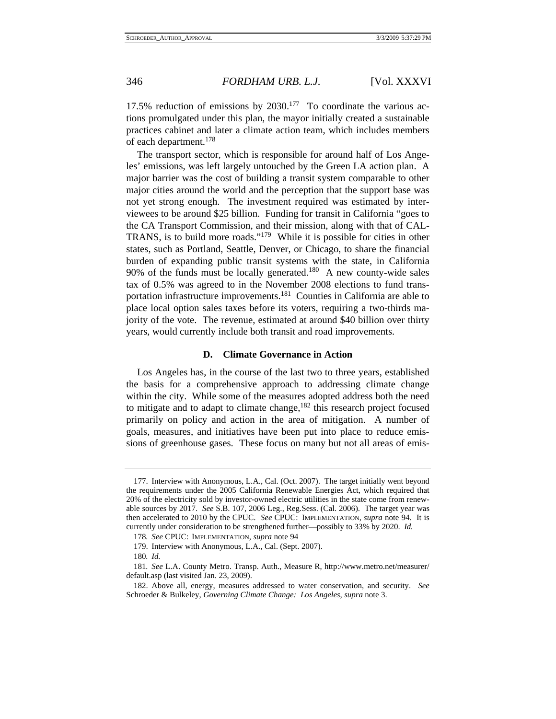17.5% reduction of emissions by  $2030<sup>177</sup>$  To coordinate the various actions promulgated under this plan, the mayor initially created a sustainable practices cabinet and later a climate action team, which includes members of each department.178

The transport sector, which is responsible for around half of Los Angeles' emissions, was left largely untouched by the Green LA action plan. A major barrier was the cost of building a transit system comparable to other major cities around the world and the perception that the support base was not yet strong enough. The investment required was estimated by interviewees to be around \$25 billion. Funding for transit in California "goes to the CA Transport Commission, and their mission, along with that of CAL-TRANS, is to build more roads."179 While it is possible for cities in other states, such as Portland, Seattle, Denver, or Chicago, to share the financial burden of expanding public transit systems with the state, in California 90% of the funds must be locally generated.<sup>180</sup> A new county-wide sales tax of 0.5% was agreed to in the November 2008 elections to fund transportation infrastructure improvements.<sup>181</sup> Counties in California are able to place local option sales taxes before its voters, requiring a two-thirds majority of the vote. The revenue, estimated at around \$40 billion over thirty years, would currently include both transit and road improvements.

#### **D. Climate Governance in Action**

Los Angeles has, in the course of the last two to three years, established the basis for a comprehensive approach to addressing climate change within the city. While some of the measures adopted address both the need to mitigate and to adapt to climate change,  $182$  this research project focused primarily on policy and action in the area of mitigation. A number of goals, measures, and initiatives have been put into place to reduce emissions of greenhouse gases. These focus on many but not all areas of emis-

 <sup>177.</sup> Interview with Anonymous, L.A., Cal. (Oct. 2007). The target initially went beyond the requirements under the 2005 California Renewable Energies Act, which required that 20% of the electricity sold by investor-owned electric utilities in the state come from renewable sources by 2017. *See* S.B. 107, 2006 Leg., Reg.Sess. (Cal. 2006). The target year was then accelerated to 2010 by the CPUC. *See* CPUC: IMPLEMENTATION, *supra* note 94. It is currently under consideration to be strengthened further—possibly to 33% by 2020. *Id.*

<sup>178</sup>*. See* CPUC: IMPLEMENTATION, *supra* note 94

 <sup>179.</sup> Interview with Anonymous, L.A., Cal. (Sept. 2007).

<sup>180</sup>*. Id.*

<sup>181</sup>*. See* L.A. County Metro. Transp. Auth., Measure R, http://www.metro.net/measurer/ default.asp (last visited Jan. 23, 2009).

 <sup>182.</sup> Above all, energy, measures addressed to water conservation, and security. *See* Schroeder & Bulkeley, *Governing Climate Change: Los Angeles*, *supra* note 3.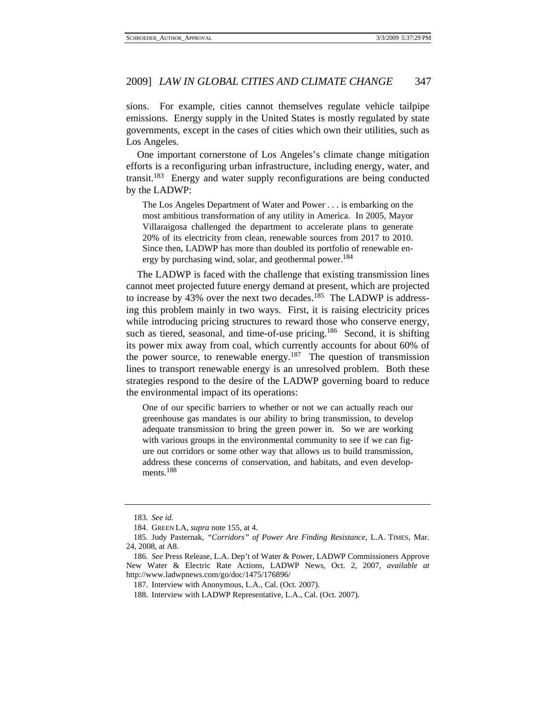sions. For example, cities cannot themselves regulate vehicle tailpipe emissions. Energy supply in the United States is mostly regulated by state governments, except in the cases of cities which own their utilities, such as Los Angeles.

One important cornerstone of Los Angeles's climate change mitigation efforts is a reconfiguring urban infrastructure, including energy, water, and transit.<sup>183</sup> Energy and water supply reconfigurations are being conducted by the LADWP:

The Los Angeles Department of Water and Power . . . is embarking on the most ambitious transformation of any utility in America. In 2005, Mayor Villaraigosa challenged the department to accelerate plans to generate 20% of its electricity from clean, renewable sources from 2017 to 2010. Since then, LADWP has more than doubled its portfolio of renewable energy by purchasing wind, solar, and geothermal power.<sup>184</sup>

The LADWP is faced with the challenge that existing transmission lines cannot meet projected future energy demand at present, which are projected to increase by 43% over the next two decades.<sup>185</sup> The LADWP is addressing this problem mainly in two ways. First, it is raising electricity prices while introducing pricing structures to reward those who conserve energy, such as tiered, seasonal, and time-of-use pricing.<sup>186</sup> Second, it is shifting its power mix away from coal, which currently accounts for about 60% of the power source, to renewable energy.<sup>187</sup> The question of transmission lines to transport renewable energy is an unresolved problem. Both these strategies respond to the desire of the LADWP governing board to reduce the environmental impact of its operations:

One of our specific barriers to whether or not we can actually reach our greenhouse gas mandates is our ability to bring transmission, to develop adequate transmission to bring the green power in. So we are working with various groups in the environmental community to see if we can figure out corridors or some other way that allows us to build transmission, address these concerns of conservation, and habitats, and even developments<sup>188</sup>

<sup>183</sup>*. See id.*

 <sup>184.</sup> GREEN LA, *supra* note 155, at 4.

 <sup>185.</sup> Judy Pasternak, *"Corridors" of Power Are Finding Resistance*, L.A. TIMES, Mar. 24, 2008, at A8.

<sup>186</sup>*. See* Press Release, L.A. Dep't of Water & Power, LADWP Commissioners Approve New Water & Electric Rate Actions, LADWP News, Oct. 2, 2007, *available at* http://www.ladwpnews.com/go/doc/1475/176896/

 <sup>187.</sup> Interview with Anonymous, L.A., Cal. (Oct. 2007).

 <sup>188.</sup> Interview with LADWP Representative, L.A., Cal. (Oct. 2007).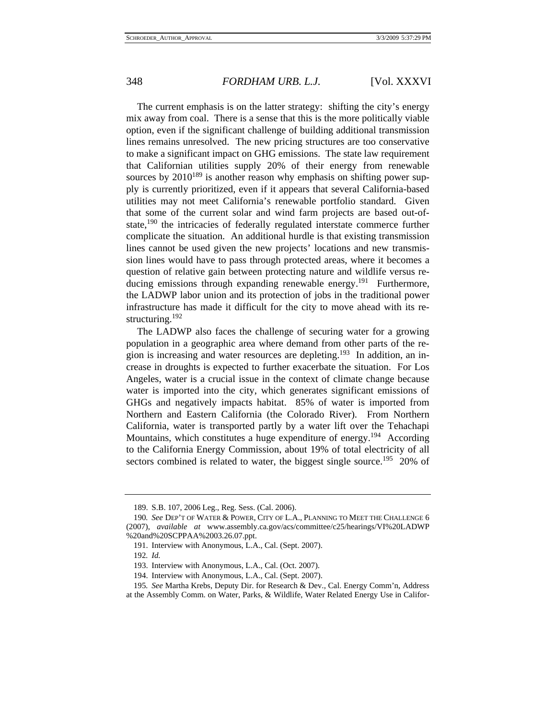The current emphasis is on the latter strategy: shifting the city's energy mix away from coal. There is a sense that this is the more politically viable option, even if the significant challenge of building additional transmission lines remains unresolved. The new pricing structures are too conservative to make a significant impact on GHG emissions. The state law requirement that Californian utilities supply 20% of their energy from renewable sources by  $2010^{189}$  is another reason why emphasis on shifting power supply is currently prioritized, even if it appears that several California-based utilities may not meet California's renewable portfolio standard. Given that some of the current solar and wind farm projects are based out-ofstate,<sup>190</sup> the intricacies of federally regulated interstate commerce further complicate the situation. An additional hurdle is that existing transmission lines cannot be used given the new projects' locations and new transmission lines would have to pass through protected areas, where it becomes a question of relative gain between protecting nature and wildlife versus reducing emissions through expanding renewable energy.<sup>191</sup> Furthermore, the LADWP labor union and its protection of jobs in the traditional power infrastructure has made it difficult for the city to move ahead with its restructuring.192

The LADWP also faces the challenge of securing water for a growing population in a geographic area where demand from other parts of the region is increasing and water resources are depleting.193 In addition, an increase in droughts is expected to further exacerbate the situation. For Los Angeles, water is a crucial issue in the context of climate change because water is imported into the city, which generates significant emissions of GHGs and negatively impacts habitat. 85% of water is imported from Northern and Eastern California (the Colorado River). From Northern California, water is transported partly by a water lift over the Tehachapi Mountains, which constitutes a huge expenditure of energy.<sup>194</sup> According to the California Energy Commission, about 19% of total electricity of all sectors combined is related to water, the biggest single source.<sup>195</sup> 20% of

194. Interview with Anonymous, L.A., Cal. (Sept. 2007).

 <sup>189.</sup> S.B. 107, 2006 Leg., Reg. Sess. (Cal. 2006).

<sup>190</sup>*. See* DEP'T OF WATER & POWER, CITY OF L.A., PLANNING TO MEET THE CHALLENGE 6 (2007), *available at* www.assembly.ca.gov/acs/committee/c25/hearings/VI%20LADWP %20and%20SCPPAA%2003.26.07.ppt.

 <sup>191.</sup> Interview with Anonymous, L.A., Cal. (Sept. 2007).

<sup>192</sup>*. Id.*

 <sup>193.</sup> Interview with Anonymous, L.A., Cal. (Oct. 2007).

<sup>195</sup>*. See* Martha Krebs, Deputy Dir. for Research & Dev., Cal. Energy Comm'n, Address at the Assembly Comm. on Water, Parks, & Wildlife, Water Related Energy Use in Califor-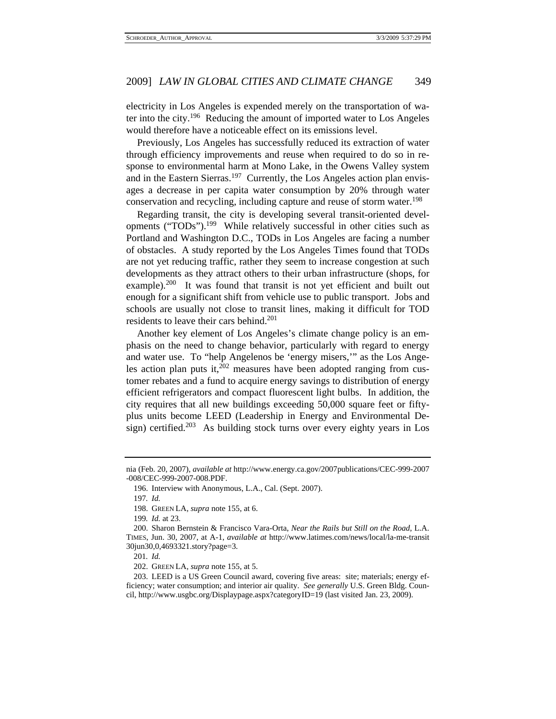electricity in Los Angeles is expended merely on the transportation of water into the city.196 Reducing the amount of imported water to Los Angeles would therefore have a noticeable effect on its emissions level.

Previously, Los Angeles has successfully reduced its extraction of water through efficiency improvements and reuse when required to do so in response to environmental harm at Mono Lake, in the Owens Valley system and in the Eastern Sierras.<sup>197</sup> Currently, the Los Angeles action plan envisages a decrease in per capita water consumption by 20% through water conservation and recycling, including capture and reuse of storm water.<sup>198</sup>

Regarding transit, the city is developing several transit-oriented developments ("TODs").199 While relatively successful in other cities such as Portland and Washington D.C., TODs in Los Angeles are facing a number of obstacles. A study reported by the Los Angeles Times found that TODs are not yet reducing traffic, rather they seem to increase congestion at such developments as they attract others to their urban infrastructure (shops, for example).<sup>200</sup> It was found that transit is not yet efficient and built out enough for a significant shift from vehicle use to public transport. Jobs and schools are usually not close to transit lines, making it difficult for TOD residents to leave their cars behind.<sup>201</sup>

Another key element of Los Angeles's climate change policy is an emphasis on the need to change behavior, particularly with regard to energy and water use. To "help Angelenos be 'energy misers,'" as the Los Angeles action plan puts it, $202$  measures have been adopted ranging from customer rebates and a fund to acquire energy savings to distribution of energy efficient refrigerators and compact fluorescent light bulbs. In addition, the city requires that all new buildings exceeding 50,000 square feet or fiftyplus units become LEED (Leadership in Energy and Environmental Design) certified.<sup>203</sup> As building stock turns over every eighty years in Los

201*. Id.*

202. GREEN LA, *supra* note 155, at 5.

 203. LEED is a US Green Council award, covering five areas: site; materials; energy efficiency; water consumption; and interior air quality. *See generally* U.S. Green Bldg. Council, http://www.usgbc.org/Displaypage.aspx?categoryID=19 (last visited Jan. 23, 2009).

nia (Feb. 20, 2007), *available at* http://www.energy.ca.gov/2007publications/CEC-999-2007 -008/CEC-999-2007-008.PDF.

 <sup>196.</sup> Interview with Anonymous, L.A., Cal. (Sept. 2007).

<sup>197</sup>*. Id.*

 <sup>198.</sup> GREEN LA, *supra* note 155, at 6.

<sup>199</sup>*. Id.* at 23.

 <sup>200.</sup> Sharon Bernstein & Francisco Vara-Orta, *Near the Rails but Still on the Road*, L.A. TIMES, Jun. 30, 2007, at A-1, *available at* http://www.latimes.com/news/local/la-me-transit 30jun30,0,4693321.story?page=3.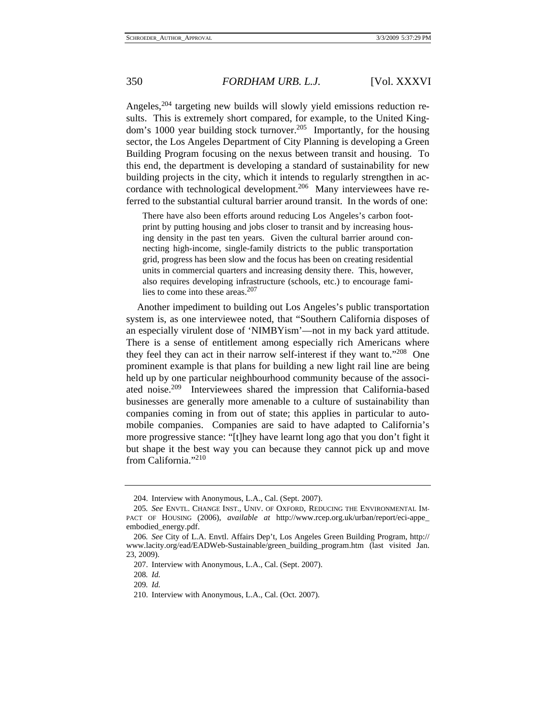Angeles,<sup>204</sup> targeting new builds will slowly yield emissions reduction results. This is extremely short compared, for example, to the United Kingdom's 1000 year building stock turnover.<sup>205</sup> Importantly, for the housing sector, the Los Angeles Department of City Planning is developing a Green Building Program focusing on the nexus between transit and housing. To this end, the department is developing a standard of sustainability for new building projects in the city, which it intends to regularly strengthen in accordance with technological development.<sup>206</sup> Many interviewees have referred to the substantial cultural barrier around transit. In the words of one:

There have also been efforts around reducing Los Angeles's carbon footprint by putting housing and jobs closer to transit and by increasing housing density in the past ten years. Given the cultural barrier around connecting high-income, single-family districts to the public transportation grid, progress has been slow and the focus has been on creating residential units in commercial quarters and increasing density there. This, however, also requires developing infrastructure (schools, etc.) to encourage families to come into these areas. $207$ 

Another impediment to building out Los Angeles's public transportation system is, as one interviewee noted, that "Southern California disposes of an especially virulent dose of 'NIMBYism'—not in my back yard attitude. There is a sense of entitlement among especially rich Americans where they feel they can act in their narrow self-interest if they want to."208 One prominent example is that plans for building a new light rail line are being held up by one particular neighbourhood community because of the associated noise.209 Interviewees shared the impression that California-based businesses are generally more amenable to a culture of sustainability than companies coming in from out of state; this applies in particular to automobile companies. Companies are said to have adapted to California's more progressive stance: "[t]hey have learnt long ago that you don't fight it but shape it the best way you can because they cannot pick up and move from California."<sup>210</sup>

 <sup>204.</sup> Interview with Anonymous, L.A., Cal. (Sept. 2007).

<sup>205</sup>*. See* ENVTL. CHANGE INST., UNIV. OF OXFORD, REDUCING THE ENVIRONMENTAL IM-PACT OF HOUSING (2006), *available at* http://www.rcep.org.uk/urban/report/eci-appe\_ embodied\_energy.pdf.

<sup>206</sup>*. See* City of L.A. Envtl. Affairs Dep't, Los Angeles Green Building Program, http:// www.lacity.org/ead/EADWeb-Sustainable/green\_building\_program.htm (last visited Jan. 23, 2009).

 <sup>207.</sup> Interview with Anonymous, L.A., Cal. (Sept. 2007).

<sup>208</sup>*. Id.*

<sup>209</sup>*. Id.*

 <sup>210.</sup> Interview with Anonymous, L.A., Cal. (Oct. 2007).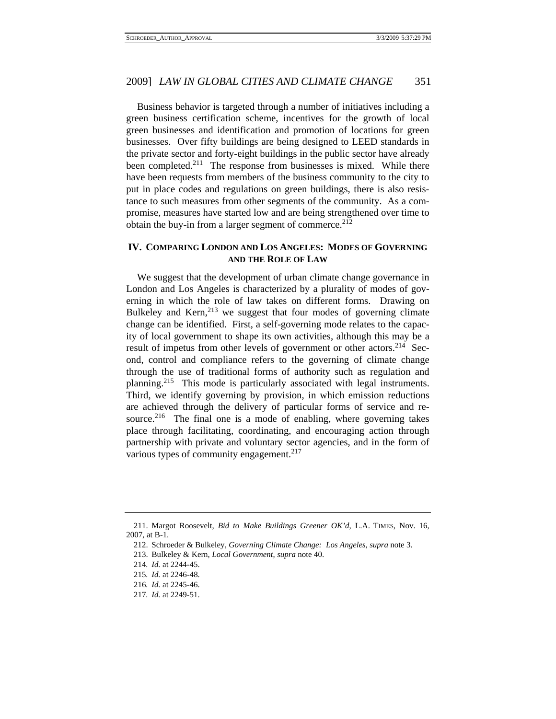Business behavior is targeted through a number of initiatives including a green business certification scheme, incentives for the growth of local green businesses and identification and promotion of locations for green businesses. Over fifty buildings are being designed to LEED standards in the private sector and forty-eight buildings in the public sector have already been completed.<sup>211</sup> The response from businesses is mixed. While there have been requests from members of the business community to the city to put in place codes and regulations on green buildings, there is also resistance to such measures from other segments of the community. As a compromise, measures have started low and are being strengthened over time to obtain the buy-in from a larger segment of commerce.<sup>212</sup>

## **IV. COMPARING LONDON AND LOS ANGELES: MODES OF GOVERNING AND THE ROLE OF LAW**

We suggest that the development of urban climate change governance in London and Los Angeles is characterized by a plurality of modes of governing in which the role of law takes on different forms. Drawing on Bulkeley and Kern, $^{213}$  we suggest that four modes of governing climate change can be identified. First, a self-governing mode relates to the capacity of local government to shape its own activities, although this may be a result of impetus from other levels of government or other actors.<sup>214</sup> Second, control and compliance refers to the governing of climate change through the use of traditional forms of authority such as regulation and planning.215 This mode is particularly associated with legal instruments. Third, we identify governing by provision, in which emission reductions are achieved through the delivery of particular forms of service and resource.<sup>216</sup> The final one is a mode of enabling, where governing takes place through facilitating, coordinating, and encouraging action through partnership with private and voluntary sector agencies, and in the form of various types of community engagement. $217$ 

 <sup>211.</sup> Margot Roosevelt, *Bid to Make Buildings Greener OK'd*, L.A. TIMES, Nov. 16, 2007, at B-1.

 <sup>212.</sup> Schroeder & Bulkeley, *Governing Climate Change: Los Angeles*, *supra* note 3.

 <sup>213.</sup> Bulkeley & Kern, *Local Government*, *supra* note 40.

<sup>214</sup>*. Id.* at 2244-45.

<sup>215</sup>*. Id.* at 2246-48.

<sup>216</sup>*. Id.* at 2245-46.

<sup>217</sup>*. Id.* at 2249-51.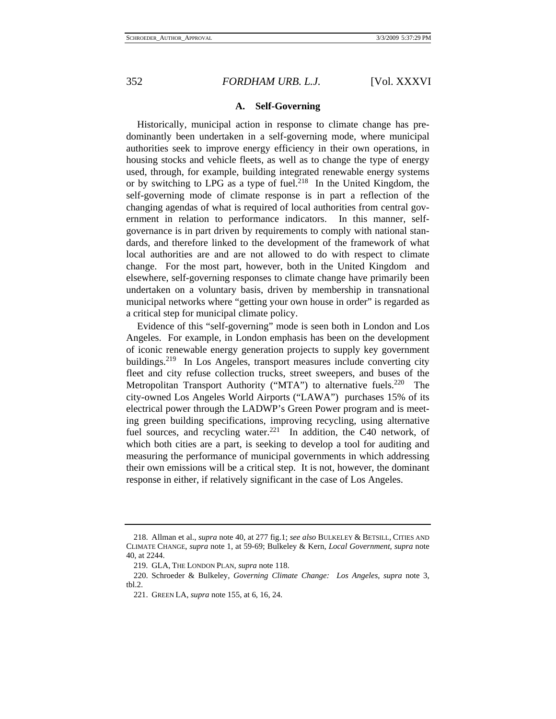# 352 *FORDHAM URB. L.J.* [Vol. XXXVI

## **A. Self-Governing**

Historically, municipal action in response to climate change has predominantly been undertaken in a self-governing mode, where municipal authorities seek to improve energy efficiency in their own operations, in housing stocks and vehicle fleets, as well as to change the type of energy used, through, for example, building integrated renewable energy systems or by switching to LPG as a type of fuel.<sup>218</sup> In the United Kingdom, the self-governing mode of climate response is in part a reflection of the changing agendas of what is required of local authorities from central government in relation to performance indicators. In this manner, selfgovernance is in part driven by requirements to comply with national standards, and therefore linked to the development of the framework of what local authorities are and are not allowed to do with respect to climate change. For the most part, however, both in the United Kingdom and elsewhere, self-governing responses to climate change have primarily been undertaken on a voluntary basis, driven by membership in transnational municipal networks where "getting your own house in order" is regarded as a critical step for municipal climate policy.

Evidence of this "self-governing" mode is seen both in London and Los Angeles. For example, in London emphasis has been on the development of iconic renewable energy generation projects to supply key government buildings.<sup>219</sup> In Los Angeles, transport measures include converting city fleet and city refuse collection trucks, street sweepers, and buses of the Metropolitan Transport Authority ("MTA") to alternative fuels.<sup>220</sup> The city-owned Los Angeles World Airports ("LAWA") purchases 15% of its electrical power through the LADWP's Green Power program and is meeting green building specifications, improving recycling, using alternative fuel sources, and recycling water.<sup>221</sup> In addition, the C40 network, of which both cities are a part, is seeking to develop a tool for auditing and measuring the performance of municipal governments in which addressing their own emissions will be a critical step. It is not, however, the dominant response in either, if relatively significant in the case of Los Angeles.

 <sup>218.</sup> Allman et al., *supra* note 40, at 277 fig.1; *see also* BULKELEY & BETSILL, CITIES AND CLIMATE CHANGE, *supra* note 1, at 59-69; Bulkeley & Kern, *Local Government*, *supra* note 40, at 2244.

 <sup>219.</sup> GLA, THE LONDON PLAN, *supra* note 118.

 <sup>220.</sup> Schroeder & Bulkeley, *Governing Climate Change: Los Angeles*, *supra* note 3, tbl.2.

 <sup>221.</sup> GREEN LA, *supra* note 155, at 6, 16, 24.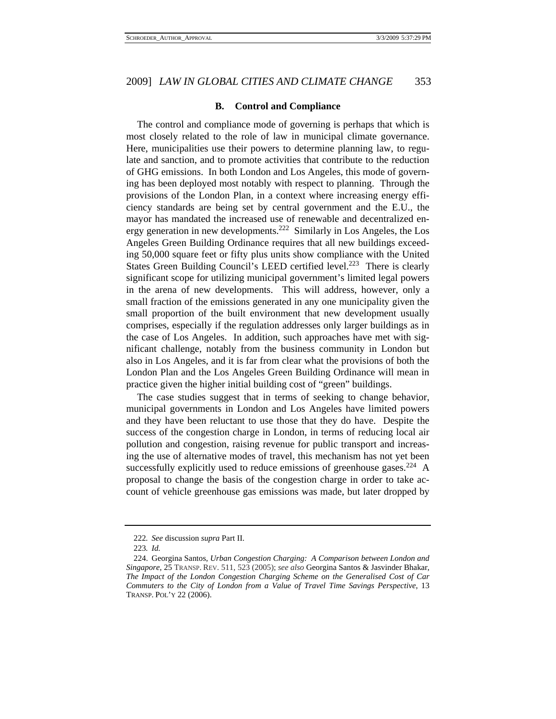## **B. Control and Compliance**

The control and compliance mode of governing is perhaps that which is most closely related to the role of law in municipal climate governance. Here, municipalities use their powers to determine planning law, to regulate and sanction, and to promote activities that contribute to the reduction of GHG emissions. In both London and Los Angeles, this mode of governing has been deployed most notably with respect to planning. Through the provisions of the London Plan, in a context where increasing energy efficiency standards are being set by central government and the E.U., the mayor has mandated the increased use of renewable and decentralized energy generation in new developments.222 Similarly in Los Angeles, the Los Angeles Green Building Ordinance requires that all new buildings exceeding 50,000 square feet or fifty plus units show compliance with the United States Green Building Council's LEED certified level.<sup>223</sup> There is clearly significant scope for utilizing municipal government's limited legal powers in the arena of new developments. This will address, however, only a small fraction of the emissions generated in any one municipality given the small proportion of the built environment that new development usually comprises, especially if the regulation addresses only larger buildings as in the case of Los Angeles. In addition, such approaches have met with significant challenge, notably from the business community in London but also in Los Angeles, and it is far from clear what the provisions of both the London Plan and the Los Angeles Green Building Ordinance will mean in practice given the higher initial building cost of "green" buildings.

The case studies suggest that in terms of seeking to change behavior, municipal governments in London and Los Angeles have limited powers and they have been reluctant to use those that they do have. Despite the success of the congestion charge in London, in terms of reducing local air pollution and congestion, raising revenue for public transport and increasing the use of alternative modes of travel, this mechanism has not yet been successfully explicitly used to reduce emissions of greenhouse gases.<sup>224</sup> A proposal to change the basis of the congestion charge in order to take account of vehicle greenhouse gas emissions was made, but later dropped by

<sup>222</sup>*. See* discussion *supra* Part II.

<sup>223</sup>*. Id.*

 <sup>224.</sup> Georgina Santos, *Urban Congestion Charging: A Comparison between London and Singapore*, 25 TRANSP. REV. 511, 523 (2005); *see also* Georgina Santos & Jasvinder Bhakar, *The Impact of the London Congestion Charging Scheme on the Generalised Cost of Car Commuters to the City of London from a Value of Travel Time Savings Perspective*, 13 TRANSP. POL'Y 22 (2006).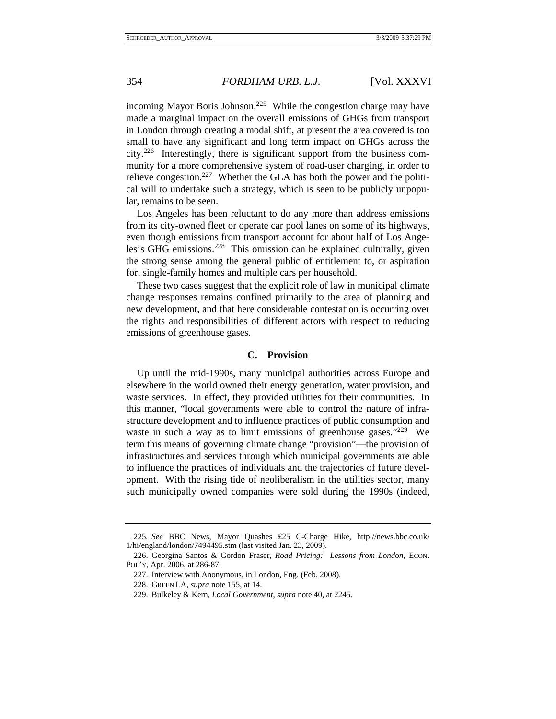incoming Mayor Boris Johnson.<sup>225</sup> While the congestion charge may have made a marginal impact on the overall emissions of GHGs from transport in London through creating a modal shift, at present the area covered is too small to have any significant and long term impact on GHGs across the city.226 Interestingly, there is significant support from the business community for a more comprehensive system of road-user charging, in order to relieve congestion.<sup>227</sup> Whether the GLA has both the power and the political will to undertake such a strategy, which is seen to be publicly unpopular, remains to be seen.

Los Angeles has been reluctant to do any more than address emissions from its city-owned fleet or operate car pool lanes on some of its highways, even though emissions from transport account for about half of Los Angeles's GHG emissions.<sup>228</sup> This omission can be explained culturally, given the strong sense among the general public of entitlement to, or aspiration for, single-family homes and multiple cars per household.

These two cases suggest that the explicit role of law in municipal climate change responses remains confined primarily to the area of planning and new development, and that here considerable contestation is occurring over the rights and responsibilities of different actors with respect to reducing emissions of greenhouse gases.

#### **C. Provision**

Up until the mid-1990s, many municipal authorities across Europe and elsewhere in the world owned their energy generation, water provision, and waste services. In effect, they provided utilities for their communities. In this manner, "local governments were able to control the nature of infrastructure development and to influence practices of public consumption and waste in such a way as to limit emissions of greenhouse gases." $229$  We term this means of governing climate change "provision"—the provision of infrastructures and services through which municipal governments are able to influence the practices of individuals and the trajectories of future development. With the rising tide of neoliberalism in the utilities sector, many such municipally owned companies were sold during the 1990s (indeed,

<sup>225</sup>*. See* BBC News, Mayor Quashes £25 C-Charge Hike, http://news.bbc.co.uk/ 1/hi/england/london/7494495.stm (last visited Jan. 23, 2009).

 <sup>226.</sup> Georgina Santos & Gordon Fraser, *Road Pricing: Lessons from London*, ECON. POL'Y, Apr. 2006, at 286-87.

 <sup>227.</sup> Interview with Anonymous, in London, Eng. (Feb. 2008).

 <sup>228.</sup> GREEN LA, *supra* note 155, at 14.

 <sup>229.</sup> Bulkeley & Kern, *Local Government*, *supra* note 40, at 2245.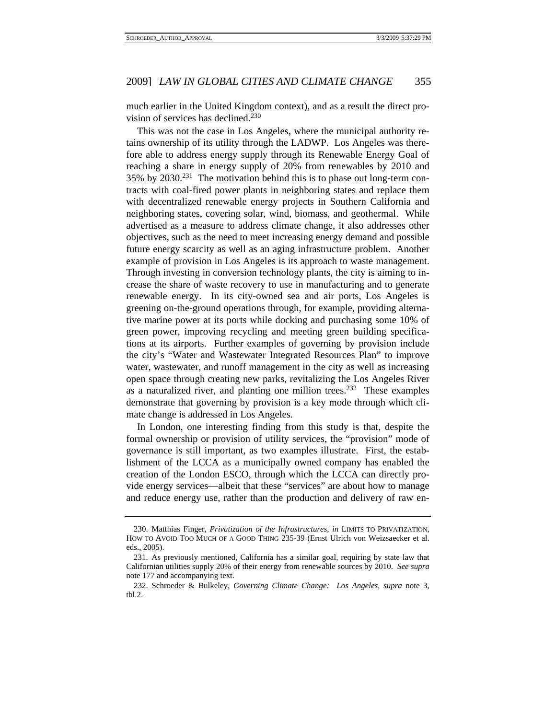much earlier in the United Kingdom context), and as a result the direct provision of services has declined. $230$ 

This was not the case in Los Angeles, where the municipal authority retains ownership of its utility through the LADWP. Los Angeles was therefore able to address energy supply through its Renewable Energy Goal of reaching a share in energy supply of 20% from renewables by 2010 and 35% by 2030.231 The motivation behind this is to phase out long-term contracts with coal-fired power plants in neighboring states and replace them with decentralized renewable energy projects in Southern California and neighboring states, covering solar, wind, biomass, and geothermal. While advertised as a measure to address climate change, it also addresses other objectives, such as the need to meet increasing energy demand and possible future energy scarcity as well as an aging infrastructure problem. Another example of provision in Los Angeles is its approach to waste management. Through investing in conversion technology plants, the city is aiming to increase the share of waste recovery to use in manufacturing and to generate renewable energy. In its city-owned sea and air ports, Los Angeles is greening on-the-ground operations through, for example, providing alternative marine power at its ports while docking and purchasing some 10% of green power, improving recycling and meeting green building specifications at its airports. Further examples of governing by provision include the city's "Water and Wastewater Integrated Resources Plan" to improve water, wastewater, and runoff management in the city as well as increasing open space through creating new parks, revitalizing the Los Angeles River as a naturalized river, and planting one million trees.<sup>232</sup> These examples demonstrate that governing by provision is a key mode through which climate change is addressed in Los Angeles.

In London, one interesting finding from this study is that, despite the formal ownership or provision of utility services, the "provision" mode of governance is still important, as two examples illustrate. First, the establishment of the LCCA as a municipally owned company has enabled the creation of the London ESCO, through which the LCCA can directly provide energy services—albeit that these "services" are about how to manage and reduce energy use, rather than the production and delivery of raw en-

 <sup>230.</sup> Matthias Finger, *Privatization of the Infrastructures*, *in* LIMITS TO PRIVATIZATION, HOW TO AVOID TOO MUCH OF A GOOD THING 235-39 (Ernst Ulrich von Weizsaecker et al. eds., 2005).

 <sup>231.</sup> As previously mentioned, California has a similar goal, requiring by state law that Californian utilities supply 20% of their energy from renewable sources by 2010. *See supra* note 177 and accompanying text.

 <sup>232.</sup> Schroeder & Bulkeley, *Governing Climate Change: Los Angeles*, *supra* note 3, tbl.2.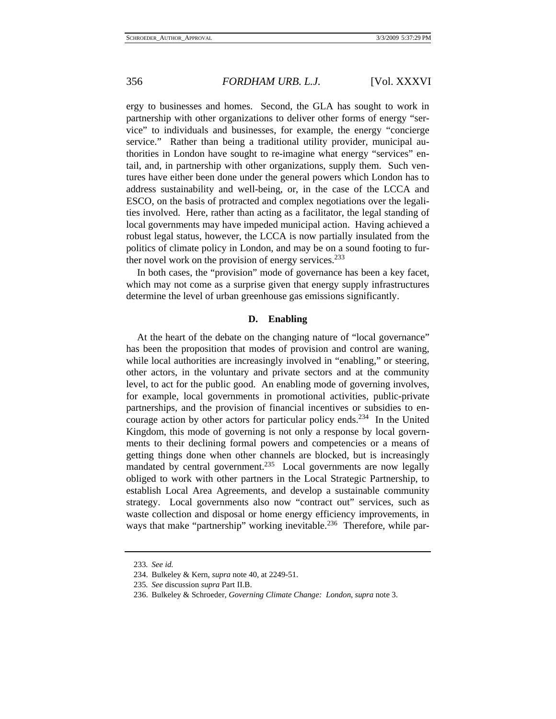ergy to businesses and homes. Second, the GLA has sought to work in partnership with other organizations to deliver other forms of energy "service" to individuals and businesses, for example, the energy "concierge service." Rather than being a traditional utility provider, municipal authorities in London have sought to re-imagine what energy "services" entail, and, in partnership with other organizations, supply them. Such ventures have either been done under the general powers which London has to address sustainability and well-being, or, in the case of the LCCA and ESCO, on the basis of protracted and complex negotiations over the legalities involved. Here, rather than acting as a facilitator, the legal standing of local governments may have impeded municipal action. Having achieved a robust legal status, however, the LCCA is now partially insulated from the politics of climate policy in London, and may be on a sound footing to further novel work on the provision of energy services. $233$ 

In both cases, the "provision" mode of governance has been a key facet, which may not come as a surprise given that energy supply infrastructures determine the level of urban greenhouse gas emissions significantly.

## **D. Enabling**

At the heart of the debate on the changing nature of "local governance" has been the proposition that modes of provision and control are waning, while local authorities are increasingly involved in "enabling," or steering, other actors, in the voluntary and private sectors and at the community level, to act for the public good. An enabling mode of governing involves, for example, local governments in promotional activities, public-private partnerships, and the provision of financial incentives or subsidies to encourage action by other actors for particular policy ends.234 In the United Kingdom, this mode of governing is not only a response by local governments to their declining formal powers and competencies or a means of getting things done when other channels are blocked, but is increasingly mandated by central government.<sup>235</sup> Local governments are now legally obliged to work with other partners in the Local Strategic Partnership, to establish Local Area Agreements, and develop a sustainable community strategy. Local governments also now "contract out" services, such as waste collection and disposal or home energy efficiency improvements, in ways that make "partnership" working inevitable.<sup>236</sup> Therefore, while par-

<sup>233</sup>*. See id.*

 <sup>234.</sup> Bulkeley & Kern, *supra* note 40, at 2249-51.

<sup>235</sup>*. See* discussion *supra* Part II.B.

 <sup>236.</sup> Bulkeley & Schroeder, *Governing Climate Change: London*, *supra* note 3.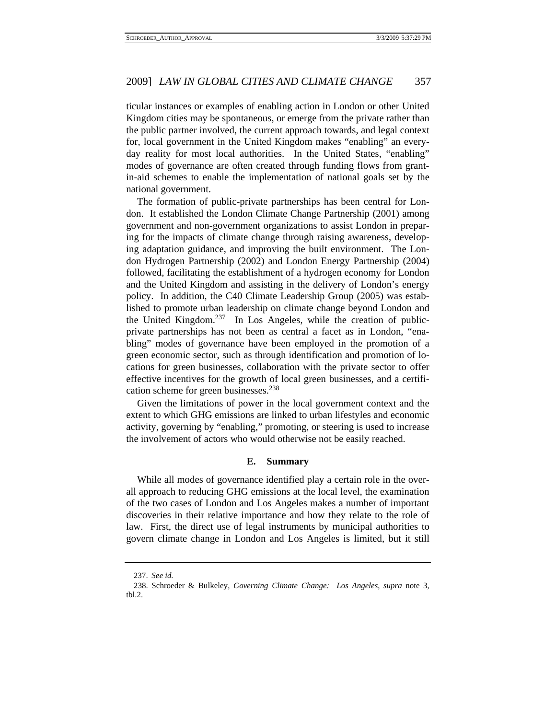ticular instances or examples of enabling action in London or other United Kingdom cities may be spontaneous, or emerge from the private rather than the public partner involved, the current approach towards, and legal context for, local government in the United Kingdom makes "enabling" an everyday reality for most local authorities. In the United States, "enabling" modes of governance are often created through funding flows from grantin-aid schemes to enable the implementation of national goals set by the national government.

The formation of public-private partnerships has been central for London. It established the London Climate Change Partnership (2001) among government and non-government organizations to assist London in preparing for the impacts of climate change through raising awareness, developing adaptation guidance, and improving the built environment. The London Hydrogen Partnership (2002) and London Energy Partnership (2004) followed, facilitating the establishment of a hydrogen economy for London and the United Kingdom and assisting in the delivery of London's energy policy. In addition, the C40 Climate Leadership Group (2005) was established to promote urban leadership on climate change beyond London and the United Kingdom. $237$  In Los Angeles, while the creation of publicprivate partnerships has not been as central a facet as in London, "enabling" modes of governance have been employed in the promotion of a green economic sector, such as through identification and promotion of locations for green businesses, collaboration with the private sector to offer effective incentives for the growth of local green businesses, and a certification scheme for green businesses.<sup>238</sup>

Given the limitations of power in the local government context and the extent to which GHG emissions are linked to urban lifestyles and economic activity, governing by "enabling," promoting, or steering is used to increase the involvement of actors who would otherwise not be easily reached.

### **E. Summary**

While all modes of governance identified play a certain role in the overall approach to reducing GHG emissions at the local level, the examination of the two cases of London and Los Angeles makes a number of important discoveries in their relative importance and how they relate to the role of law. First, the direct use of legal instruments by municipal authorities to govern climate change in London and Los Angeles is limited, but it still

 <sup>237.</sup> *See id.*

 <sup>238.</sup> Schroeder & Bulkeley, *Governing Climate Change: Los Angeles*, *supra* note 3, tbl.2.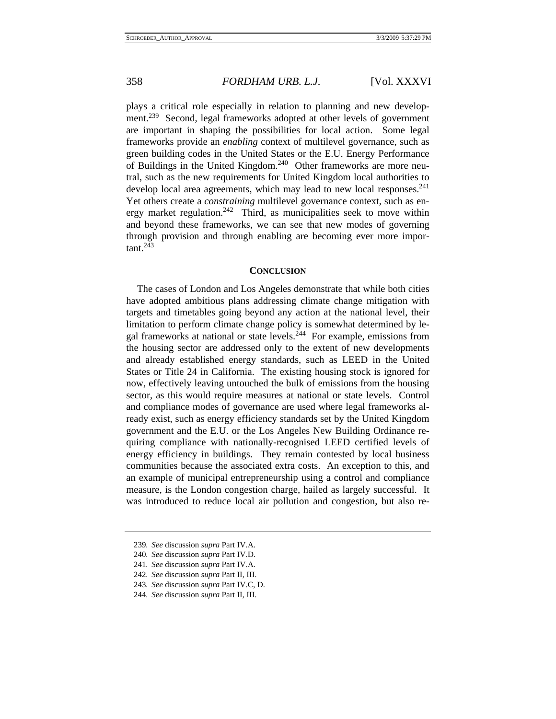plays a critical role especially in relation to planning and new development.<sup>239</sup> Second, legal frameworks adopted at other levels of government are important in shaping the possibilities for local action. Some legal frameworks provide an *enabling* context of multilevel governance, such as green building codes in the United States or the E.U. Energy Performance of Buildings in the United Kingdom.240 Other frameworks are more neutral, such as the new requirements for United Kingdom local authorities to develop local area agreements, which may lead to new local responses.<sup>241</sup> Yet others create a *constraining* multilevel governance context, such as energy market regulation.<sup>242</sup> Third, as municipalities seek to move within and beyond these frameworks, we can see that new modes of governing through provision and through enabling are becoming ever more impor $tant.<sup>243</sup>$ 

#### **CONCLUSION**

The cases of London and Los Angeles demonstrate that while both cities have adopted ambitious plans addressing climate change mitigation with targets and timetables going beyond any action at the national level, their limitation to perform climate change policy is somewhat determined by legal frameworks at national or state levels.<sup>244</sup> For example, emissions from the housing sector are addressed only to the extent of new developments and already established energy standards, such as LEED in the United States or Title 24 in California. The existing housing stock is ignored for now, effectively leaving untouched the bulk of emissions from the housing sector, as this would require measures at national or state levels. Control and compliance modes of governance are used where legal frameworks already exist, such as energy efficiency standards set by the United Kingdom government and the E.U. or the Los Angeles New Building Ordinance requiring compliance with nationally-recognised LEED certified levels of energy efficiency in buildings. They remain contested by local business communities because the associated extra costs. An exception to this, and an example of municipal entrepreneurship using a control and compliance measure, is the London congestion charge, hailed as largely successful. It was introduced to reduce local air pollution and congestion, but also re-

- 243*. See* discussion *supra* Part IV.C, D.
- 244*. See* discussion *supra* Part II, III.

<sup>239</sup>*. See* discussion *supra* Part IV.A.

<sup>240</sup>*. See* discussion *supra* Part IV.D.

<sup>241</sup>*. See* discussion *supra* Part IV.A.

<sup>242</sup>*. See* discussion *supra* Part II, III.